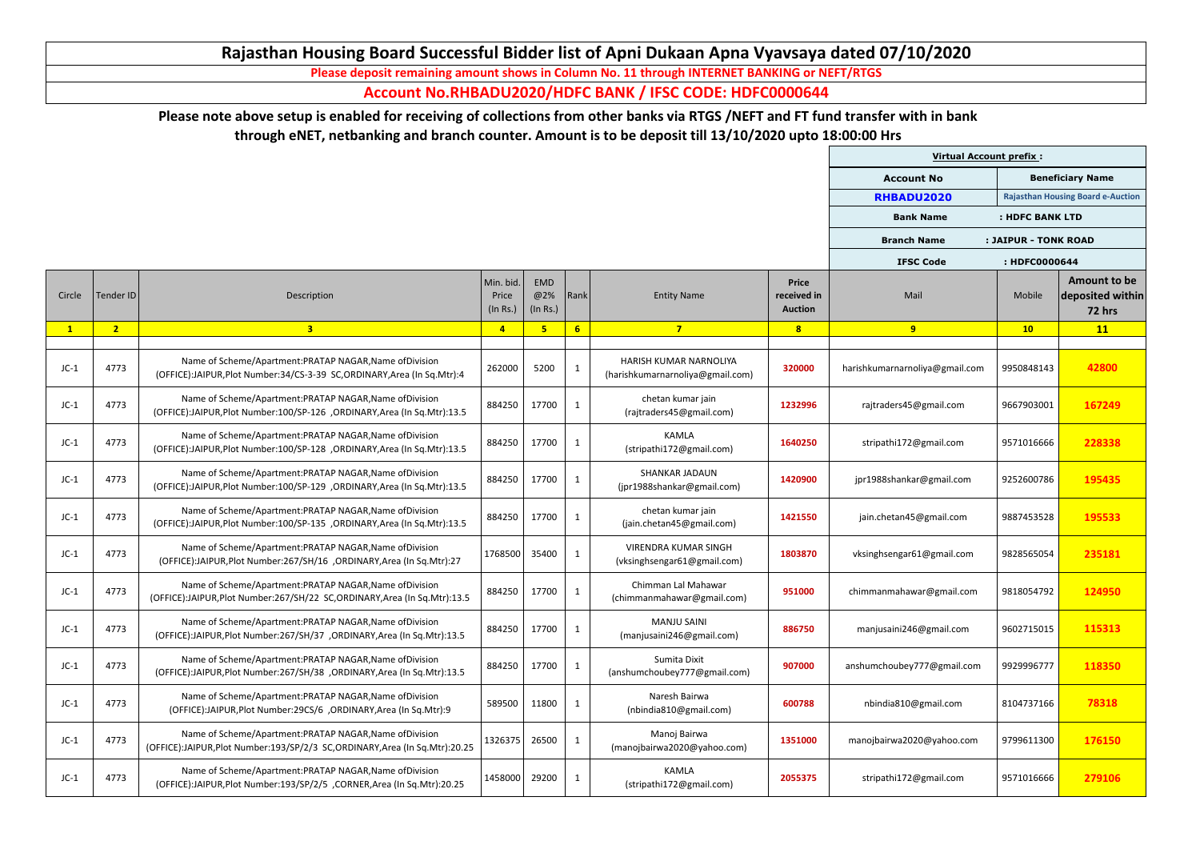|        |                |                                                                                                                                           |                                |                               |                 |                                                            |                                               | <b>Virtual Account prefix:</b> |                      |                                                          |
|--------|----------------|-------------------------------------------------------------------------------------------------------------------------------------------|--------------------------------|-------------------------------|-----------------|------------------------------------------------------------|-----------------------------------------------|--------------------------------|----------------------|----------------------------------------------------------|
|        |                |                                                                                                                                           |                                |                               |                 |                                                            |                                               | <b>Account No</b>              |                      | <b>Beneficiary Name</b>                                  |
|        |                |                                                                                                                                           |                                |                               |                 |                                                            |                                               | RHBADU2020                     |                      | <b>Rajasthan Housing Board e-Auction</b>                 |
|        |                |                                                                                                                                           |                                |                               |                 |                                                            |                                               | <b>Bank Name</b>               | : HDFC BANK LTD      |                                                          |
|        |                |                                                                                                                                           |                                |                               |                 |                                                            |                                               | <b>Branch Name</b>             | : JAIPUR - TONK ROAD |                                                          |
|        |                |                                                                                                                                           |                                |                               |                 |                                                            |                                               | <b>IFSC Code</b>               | : HDFC0000644        |                                                          |
| Circle | Tender ID      | Description                                                                                                                               | Min. bid.<br>Price<br>(In Rs.) | <b>EMD</b><br>@2%<br>(In Rs.) | Rank            | <b>Entity Name</b>                                         | <b>Price</b><br>received in<br><b>Auction</b> | Mail                           | Mobile               | <b>Amount to be</b><br>deposited within<br><b>72 hrs</b> |
|        | 2 <sub>2</sub> | 3 <sup>1</sup>                                                                                                                            | $\overline{4}$                 | 5                             | $6\overline{6}$ | $\overline{7}$                                             | 8                                             | 9                              | 10                   | 11                                                       |
| $JC-1$ | 4773           | Name of Scheme/Apartment:PRATAP NAGAR, Name of Division<br>(OFFICE):JAIPUR, Plot Number: 34/CS-3-39 SC, ORDINARY, Area (In Sq. Mtr): 4    | 262000                         | 5200                          | $\mathbf{1}$    | HARISH KUMAR NARNOLIYA<br>(harishkumarnarnoliya@gmail.com) | 320000                                        | harishkumarnarnoliya@gmail.com | 9950848143           | 42800                                                    |
| $JC-1$ | 4773           | Name of Scheme/Apartment:PRATAP NAGAR, Name of Division<br>(OFFICE):JAIPUR, Plot Number: 100/SP-126 , ORDINARY, Area (In Sq. Mtr): 13.5   | 884250                         | 17700                         | $\mathbf{1}$    | chetan kumar jain<br>(rajtraders45@gmail.com)              | 1232996                                       | rajtraders45@gmail.com         | 9667903001           | 167249                                                   |
| $JC-1$ | 4773           | Name of Scheme/Apartment:PRATAP NAGAR, Name of Division<br>(OFFICE):JAIPUR, Plot Number: 100/SP-128, ORDINARY, Area (In Sq. Mtr): 13.5    | 884250                         | 17700                         | $\mathbf{1}$    | <b>KAMLA</b><br>(stripathi172@gmail.com)                   | 1640250                                       | stripathi172@gmail.com         | 9571016666           | 228338                                                   |
| $JC-1$ | 4773           | Name of Scheme/Apartment:PRATAP NAGAR, Name of Division<br>(OFFICE):JAIPUR, Plot Number: 100/SP-129 , ORDINARY, Area (In Sq. Mtr): 13.5   | 884250                         | 17700                         | $\mathbf{1}$    | <b>SHANKAR JADAUN</b><br>(jpr1988shankar@gmail.com)        | 1420900                                       | jpr1988shankar@gmail.com       | 9252600786           | 195435                                                   |
| $JC-1$ | 4773           | Name of Scheme/Apartment:PRATAP NAGAR, Name of Division<br>(OFFICE):JAIPUR, Plot Number: 100/SP-135 , ORDINARY, Area (In Sq. Mtr): 13.5   | 884250                         | 17700                         | $\mathbf{1}$    | chetan kumar jain<br>(jain.chetan45@gmail.com)             | 1421550                                       | jain.chetan45@gmail.com        | 9887453528           | 195533                                                   |
| $JC-1$ | 4773           | Name of Scheme/Apartment: PRATAP NAGAR, Name of Division<br>(OFFICE):JAIPUR, Plot Number: 267/SH/16, ORDINARY, Area (In Sq. Mtr): 27      | 1768500                        | 35400                         | $\mathbf{1}$    | <b>VIRENDRA KUMAR SINGH</b><br>(vksinghsengar61@gmail.com) | 1803870                                       | vksinghsengar61@gmail.com      | 9828565054           | 235181                                                   |
| $JC-1$ | 4773           | Name of Scheme/Apartment: PRATAP NAGAR, Name of Division<br>(OFFICE):JAIPUR, Plot Number: 267/SH/22 SC, ORDINARY, Area (In Sq. Mtr): 13.5 | 884250                         | 17700                         | $\mathbf{1}$    | Chimman Lal Mahawar<br>(chimmanmahawar@gmail.com)          | 951000                                        | chimmanmahawar@gmail.com       | 9818054792           | 124950                                                   |
| $JC-1$ | 4773           | Name of Scheme/Apartment:PRATAP NAGAR, Name of Division<br>(OFFICE):JAIPUR, Plot Number: 267/SH/37, ORDINARY, Area (In Sq. Mtr): 13.5     | 884250                         | 17700                         | $\mathbf{1}$    | <b>MANJU SAINI</b><br>(manjusaini246@gmail.com)            | 886750                                        | manjusaini246@gmail.com        | 9602715015           | 115313                                                   |
| $JC-1$ | 4773           | Name of Scheme/Apartment: PRATAP NAGAR, Name of Division<br>(OFFICE):JAIPUR, Plot Number: 267/SH/38, ORDINARY, Area (In Sq. Mtr): 13.5    | 884250                         | 17700                         | $\mathbf{1}$    | Sumita Dixit<br>(anshumchoubey777@gmail.com)               | 907000                                        | anshumchoubey777@gmail.com     | 9929996777           | 118350                                                   |
| $JC-1$ | 4773           | Name of Scheme/Apartment:PRATAP NAGAR, Name of Division<br>(OFFICE):JAIPUR, Plot Number: 29CS/6, ORDINARY, Area (In Sq. Mtr): 9           | 589500                         | 11800                         | $\mathbf{1}$    | Naresh Bairwa<br>(nbindia810@gmail.com)                    | 600788                                        | nbindia810@gmail.com           | 8104737166           | 78318                                                    |
| $JC-1$ | 4773           | Name of Scheme/Apartment:PRATAP NAGAR, Name of Division<br>(OFFICE):JAIPUR, Plot Number:193/SP/2/3 SC, ORDINARY, Area (In Sq. Mtr):20.25  | 1326375                        | 26500                         | $\mathbf{1}$    | Manoj Bairwa<br>(manojbairwa2020@yahoo.com)                | 1351000                                       | manojbairwa2020@yahoo.com      | 9799611300           | 176150                                                   |
| $JC-1$ | 4773           | Name of Scheme/Apartment:PRATAP NAGAR, Name of Division<br>(OFFICE):JAIPUR, Plot Number: 193/SP/2/5, CORNER, Area (In Sq. Mtr): 20.25     | 1458000                        | 29200                         | $\mathbf{1}$    | <b>KAMLA</b><br>(stripathi172@gmail.com)                   | 2055375                                       | stripathi172@gmail.com         | 9571016666           | 279106                                                   |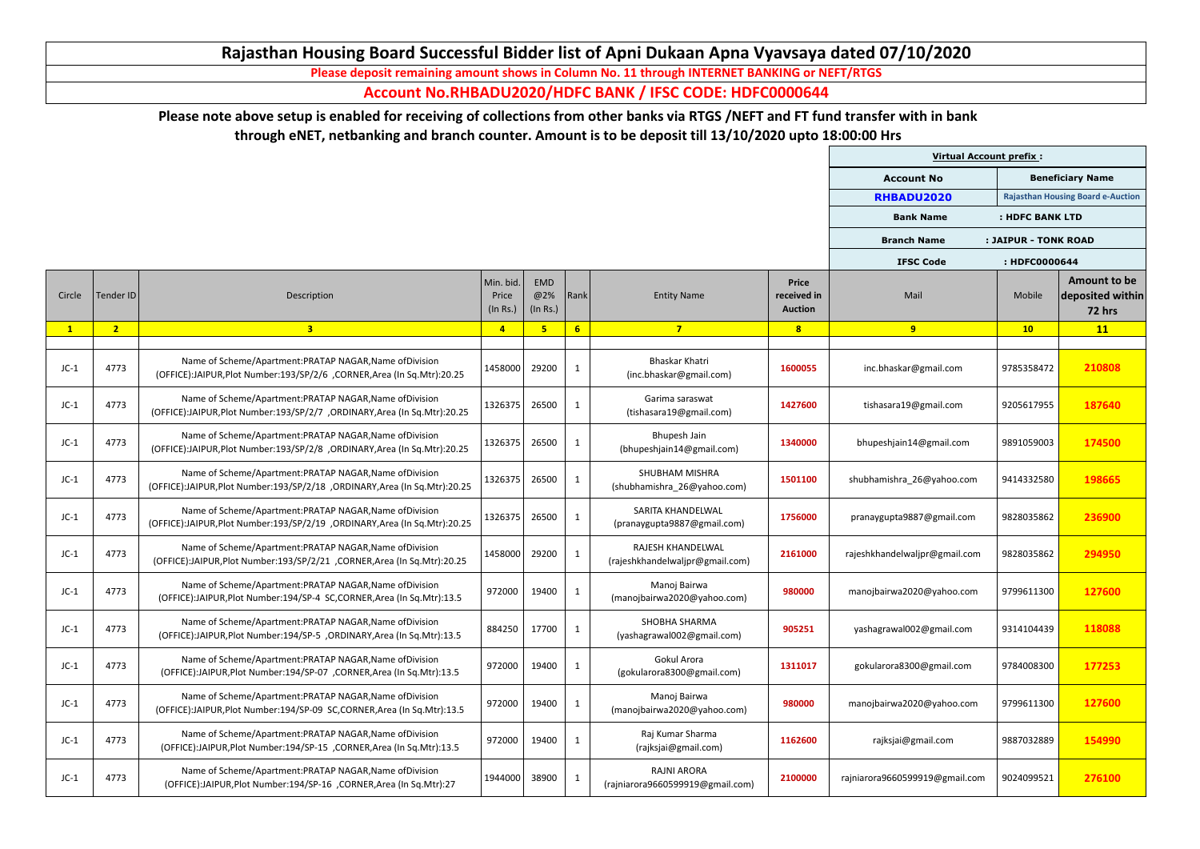|        |                |                                                                                                                                           |                                |                        |                 |                                                        |                                               | <b>Virtual Account prefix:</b> |                      |                                                   |
|--------|----------------|-------------------------------------------------------------------------------------------------------------------------------------------|--------------------------------|------------------------|-----------------|--------------------------------------------------------|-----------------------------------------------|--------------------------------|----------------------|---------------------------------------------------|
|        |                |                                                                                                                                           |                                |                        |                 |                                                        |                                               | <b>Account No</b>              |                      | <b>Beneficiary Name</b>                           |
|        |                |                                                                                                                                           |                                |                        |                 |                                                        |                                               | RHBADU2020                     |                      | <b>Rajasthan Housing Board e-Auction</b>          |
|        |                |                                                                                                                                           |                                |                        |                 |                                                        |                                               | <b>Bank Name</b>               | : HDFC BANK LTD      |                                                   |
|        |                |                                                                                                                                           |                                |                        |                 |                                                        |                                               | <b>Branch Name</b>             | : JAIPUR - TONK ROAD |                                                   |
|        |                |                                                                                                                                           |                                |                        |                 |                                                        |                                               | <b>IFSC Code</b>               | : HDFC0000644        |                                                   |
| Circle | Tender ID      | Description                                                                                                                               | Min. bid.<br>Price<br>(In Rs.) | EMD<br>@2%<br>(In Rs.) | Rank            | <b>Entity Name</b>                                     | <b>Price</b><br>received in<br><b>Auction</b> | Mail                           | Mobile               | Amount to be<br>deposited within<br><b>72 hrs</b> |
|        | 2 <sub>2</sub> | 3 <sup>1</sup>                                                                                                                            | $\overline{4}$                 | 5                      | $6\overline{6}$ | $\overline{7}$                                         | 8                                             | 9                              | 10                   | 11                                                |
| $JC-1$ | 4773           | Name of Scheme/Apartment:PRATAP NAGAR, Name of Division<br>(OFFICE):JAIPUR, Plot Number: 193/SP/2/6, CORNER, Area (In Sq. Mtr): 20.25     | 1458000                        | 29200                  | $\mathbf{1}$    | <b>Bhaskar Khatri</b><br>(inc.bhaskar@gmail.com)       | 1600055                                       | inc.bhaskar@gmail.com          | 9785358472           | 210808                                            |
| $JC-1$ | 4773           | Name of Scheme/Apartment:PRATAP NAGAR, Name of Division<br>(OFFICE):JAIPUR, Plot Number: 193/SP/2/7, ORDINARY, Area (In Sq. Mtr): 20.25   | 1326375                        | 26500                  | $\mathbf{1}$    | Garima saraswat<br>(tishasara19@gmail.com)             | 1427600                                       | tishasara19@gmail.com          | 9205617955           | 187640                                            |
| $JC-1$ | 4773           | Name of Scheme/Apartment:PRATAP NAGAR, Name of Division<br>(OFFICE):JAIPUR, Plot Number: 193/SP/2/8, ORDINARY, Area (In Sq. Mtr): 20.25   | 1326375                        | 26500                  | $\mathbf{1}$    | Bhupesh Jain<br>(bhupeshjain14@gmail.com)              | 1340000                                       | bhupeshjain14@gmail.com        | 9891059003           | 174500                                            |
| $JC-1$ | 4773           | Name of Scheme/Apartment:PRATAP NAGAR, Name of Division<br>(OFFICE):JAIPUR, Plot Number: 193/SP/2/18, ORDINARY, Area (In Sq. Mtr): 20.25  | 1326375                        | 26500                  | $\mathbf{1}$    | <b>SHUBHAM MISHRA</b><br>(shubhamishra 26@yahoo.com)   | 1501100                                       | shubhamishra 26@yahoo.com      | 9414332580           | 198665                                            |
| $JC-1$ | 4773           | Name of Scheme/Apartment: PRATAP NAGAR, Name of Division<br>(OFFICE):JAIPUR, Plot Number: 193/SP/2/19 , ORDINARY, Area (In Sq.Mtr): 20.25 | 1326375                        | 26500                  | $\mathbf{1}$    | SARITA KHANDELWAL<br>(pranaygupta9887@gmail.com)       | 1756000                                       | pranaygupta9887@gmail.com      | 9828035862           | 236900                                            |
| $JC-1$ | 4773           | Name of Scheme/Apartment: PRATAP NAGAR, Name of Division<br>(OFFICE):JAIPUR, Plot Number: 193/SP/2/21, CORNER, Area (In Sq. Mtr): 20.25   | 1458000                        | 29200                  | $\mathbf{1}$    | RAJESH KHANDELWAL<br>(rajeshkhandelwaljpr@gmail.com)   | 2161000                                       | rajeshkhandelwaljpr@gmail.com  | 9828035862           | 294950                                            |
| $JC-1$ | 4773           | Name of Scheme/Apartment: PRATAP NAGAR, Name of Division<br>(OFFICE):JAIPUR, Plot Number: 194/SP-4 SC, CORNER, Area (In Sq. Mtr): 13.5    | 972000                         | 19400                  | $\mathbf{1}$    | Manoj Bairwa<br>(manojbairwa2020@yahoo.com)            | 980000                                        | manojbairwa2020@yahoo.com      | 9799611300           | 127600                                            |
| $JC-1$ | 4773           | Name of Scheme/Apartment: PRATAP NAGAR, Name of Division<br>(OFFICE):JAIPUR, Plot Number: 194/SP-5, ORDINARY, Area (In Sq. Mtr): 13.5     | 884250                         | 17700                  | $\mathbf{1}$    | <b>SHOBHA SHARMA</b><br>(yashagrawal002@gmail.com)     | 905251                                        | yashagrawal002@gmail.com       | 9314104439           | 118088                                            |
| $JC-1$ | 4773           | Name of Scheme/Apartment: PRATAP NAGAR, Name of Division<br>(OFFICE):JAIPUR, Plot Number: 194/SP-07, CORNER, Area (In Sq. Mtr): 13.5      | 972000                         | 19400                  | 1               | Gokul Arora<br>(gokularora8300@gmail.com)              | 1311017                                       | gokularora8300@gmail.com       | 9784008300           | 177253                                            |
| $JC-1$ | 4773           | Name of Scheme/Apartment:PRATAP NAGAR, Name of Division<br>(OFFICE):JAIPUR, Plot Number: 194/SP-09 SC, CORNER, Area (In Sq. Mtr): 13.5    | 972000                         | 19400                  | $\mathbf{1}$    | Manoj Bairwa<br>(manojbairwa2020@yahoo.com)            | 980000                                        | manojbairwa2020@yahoo.com      | 9799611300           | 127600                                            |
| $JC-1$ | 4773           | Name of Scheme/Apartment: PRATAP NAGAR, Name of Division<br>(OFFICE):JAIPUR, Plot Number: 194/SP-15, CORNER, Area (In Sq. Mtr): 13.5      | 972000                         | 19400                  | 1               | Raj Kumar Sharma<br>(rajksjai@gmail.com)               | 1162600                                       | rajksjai@gmail.com             | 9887032889           | 154990                                            |
| $JC-1$ | 4773           | Name of Scheme/Apartment:PRATAP NAGAR, Name of Division<br>(OFFICE):JAIPUR, Plot Number: 194/SP-16, CORNER, Area (In Sq. Mtr): 27         | 1944000                        | 38900                  | $\mathbf{1}$    | <b>RAJNI ARORA</b><br>(rajniarora9660599919@gmail.com) | 2100000                                       | rajniarora9660599919@gmail.com | 9024099521           | 276100                                            |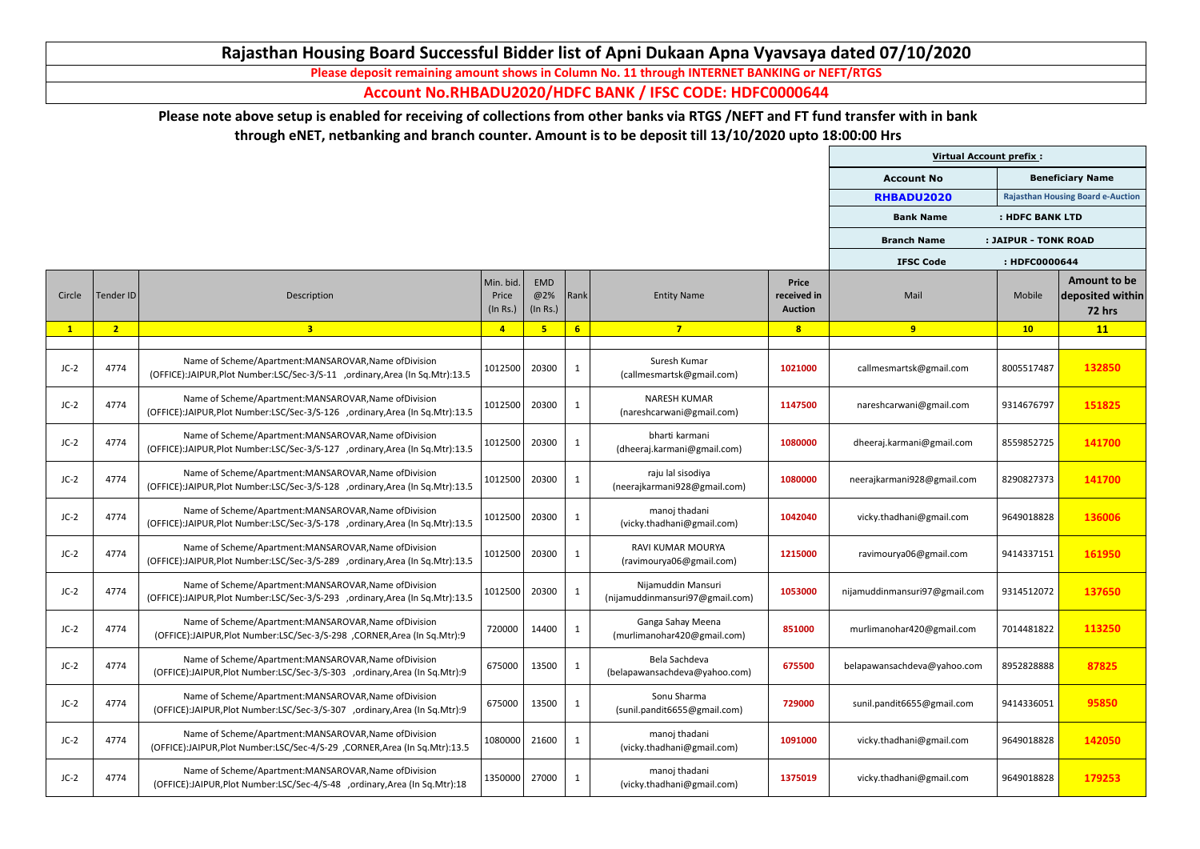|        |                |                                                                                                                                         |                                |                        |                |                                                       |                                               | <b>Virtual Account prefix:</b> |                      |                                                   |
|--------|----------------|-----------------------------------------------------------------------------------------------------------------------------------------|--------------------------------|------------------------|----------------|-------------------------------------------------------|-----------------------------------------------|--------------------------------|----------------------|---------------------------------------------------|
|        |                |                                                                                                                                         |                                |                        |                |                                                       |                                               | <b>Account No</b>              |                      | <b>Beneficiary Name</b>                           |
|        |                |                                                                                                                                         |                                |                        |                |                                                       |                                               | RHBADU2020                     |                      | <b>Rajasthan Housing Board e-Auction</b>          |
|        |                |                                                                                                                                         |                                |                        |                |                                                       |                                               | <b>Bank Name</b>               | : HDFC BANK LTD      |                                                   |
|        |                |                                                                                                                                         |                                |                        |                |                                                       |                                               | <b>Branch Name</b>             | : JAIPUR - TONK ROAD |                                                   |
|        |                |                                                                                                                                         |                                |                        |                |                                                       |                                               | <b>IFSC Code</b>               | : HDFC0000644        |                                                   |
| Circle | Tender ID      | Description                                                                                                                             | Min. bid.<br>Price<br>(In Rs.) | EMD<br>@2%<br>(In Rs.) | Rank           | <b>Entity Name</b>                                    | <b>Price</b><br>received in<br><b>Auction</b> | Mail                           | Mobile               | Amount to be<br>deposited within<br><b>72 hrs</b> |
|        | 2 <sub>1</sub> | 3 <sup>1</sup>                                                                                                                          | $\overline{4}$                 | $5\phantom{1}$         | 6 <sup>1</sup> | $7\overline{}$                                        | 8                                             | 9                              | 10                   | 11                                                |
| $JC-2$ | 4774           | Name of Scheme/Apartment:MANSAROVAR, Name of Division<br>(OFFICE):JAIPUR, Plot Number:LSC/Sec-3/S-11 , ordinary, Area (In Sq.Mtr):13.5  | 1012500                        | 20300                  | $\mathbf{1}$   | Suresh Kumar<br>(callmesmartsk@gmail.com)             | 1021000                                       | callmesmartsk@gmail.com        | 8005517487           | 132850                                            |
| $JC-2$ | 4774           | Name of Scheme/Apartment:MANSAROVAR, Name of Division<br>(OFFICE):JAIPUR, Plot Number:LSC/Sec-3/S-126 , ordinary, Area (In Sq.Mtr):13.5 | 1012500                        | 20300                  | $\mathbf{1}$   | <b>NARESH KUMAR</b><br>(nareshcarwani@gmail.com)      | 1147500                                       | nareshcarwani@gmail.com        | 9314676797           | 151825                                            |
| $JC-2$ | 4774           | Name of Scheme/Apartment:MANSAROVAR, Name of Division<br>(OFFICE):JAIPUR, Plot Number:LSC/Sec-3/S-127 , ordinary, Area (In Sq.Mtr):13.5 | 1012500                        | 20300                  | $\mathbf{1}$   | bharti karmani<br>(dheeraj.karmani@gmail.com)         | 1080000                                       | dheeraj.karmani@gmail.com      | 8559852725           | 141700                                            |
| $JC-2$ | 4774           | Name of Scheme/Apartment:MANSAROVAR, Name of Division<br>(OFFICE):JAIPUR, Plot Number:LSC/Sec-3/S-128 , ordinary, Area (In Sq.Mtr):13.5 | 1012500                        | 20300                  | $\mathbf{1}$   | raju lal sisodiya<br>(neerajkarmani928@gmail.com)     | 1080000                                       | neerajkarmani928@gmail.com     | 8290827373           | 141700                                            |
| $JC-2$ | 4774           | Name of Scheme/Apartment:MANSAROVAR, Name of Division<br>(OFFICE):JAIPUR, Plot Number:LSC/Sec-3/S-178 , ordinary, Area (In Sq.Mtr):13.5 | 1012500                        | 20300                  | $\mathbf{1}$   | manoj thadani<br>(vicky.thadhani@gmail.com)           | 1042040                                       | vicky.thadhani@gmail.com       | 9649018828           | 136006                                            |
| $JC-2$ | 4774           | Name of Scheme/Apartment:MANSAROVAR, Name of Division<br>(OFFICE):JAIPUR, Plot Number:LSC/Sec-3/S-289 , ordinary, Area (In Sq.Mtr):13.5 | 1012500                        | 20300                  | $\mathbf{1}$   | RAVI KUMAR MOURYA<br>(ravimourya06@gmail.com)         | 1215000                                       | ravimourya06@gmail.com         | 9414337151           | 161950                                            |
| $JC-2$ | 4774           | Name of Scheme/Apartment:MANSAROVAR, Name of Division<br>(OFFICE):JAIPUR, Plot Number:LSC/Sec-3/S-293 , ordinary, Area (In Sq.Mtr):13.5 | 1012500                        | 20300                  | $\mathbf{1}$   | Nijamuddin Mansuri<br>(nijamuddinmansuri97@gmail.com) | 1053000                                       | nijamuddinmansuri97@gmail.com  | 9314512072           | 137650                                            |
| $JC-2$ | 4774           | Name of Scheme/Apartment:MANSAROVAR, Name of Division<br>(OFFICE):JAIPUR, Plot Number:LSC/Sec-3/S-298, CORNER, Area (In Sq. Mtr): 9     | 720000                         | 14400                  | $\mathbf{1}$   | Ganga Sahay Meena<br>(murlimanohar420@gmail.com)      | 851000                                        | murlimanohar420@gmail.com      | 7014481822           | 113250                                            |
| $JC-2$ | 4774           | Name of Scheme/Apartment:MANSAROVAR, Name of Division<br>(OFFICE):JAIPUR, Plot Number:LSC/Sec-3/S-303 , ordinary, Area (In Sq. Mtr): 9  | 675000                         | 13500                  | $\mathbf{1}$   | Bela Sachdeva<br>(belapawansachdeva@yahoo.com)        | 675500                                        | belapawansachdeva@yahoo.com    | 8952828888           | 87825                                             |
| $JC-2$ | 4774           | Name of Scheme/Apartment:MANSAROVAR, Name of Division<br>(OFFICE):JAIPUR, Plot Number:LSC/Sec-3/S-307 , ordinary, Area (In Sq. Mtr): 9  | 675000                         | 13500                  | $\mathbf{1}$   | Sonu Sharma<br>(sunil.pandit6655@gmail.com)           | 729000                                        | sunil.pandit6655@gmail.com     | 9414336051           | 95850                                             |
| $JC-2$ | 4774           | Name of Scheme/Apartment:MANSAROVAR, Name of Division<br>(OFFICE):JAIPUR, Plot Number:LSC/Sec-4/S-29 , CORNER, Area (In Sq.Mtr):13.5    |                                | 1080000 21600          | $\mathbf{1}$   | manoj thadani<br>(vicky.thadhani@gmail.com)           | 1091000                                       | vicky.thadhani@gmail.com       | 9649018828           | 142050                                            |
| $JC-2$ | 4774           | Name of Scheme/Apartment:MANSAROVAR, Name of Division<br>(OFFICE):JAIPUR, Plot Number:LSC/Sec-4/S-48 , ordinary, Area (In Sq. Mtr):18   | 1350000                        | 27000                  | $\mathbf{1}$   | manoj thadani<br>(vicky.thadhani@gmail.com)           | 1375019                                       | vicky.thadhani@gmail.com       | 9649018828           | 179253                                            |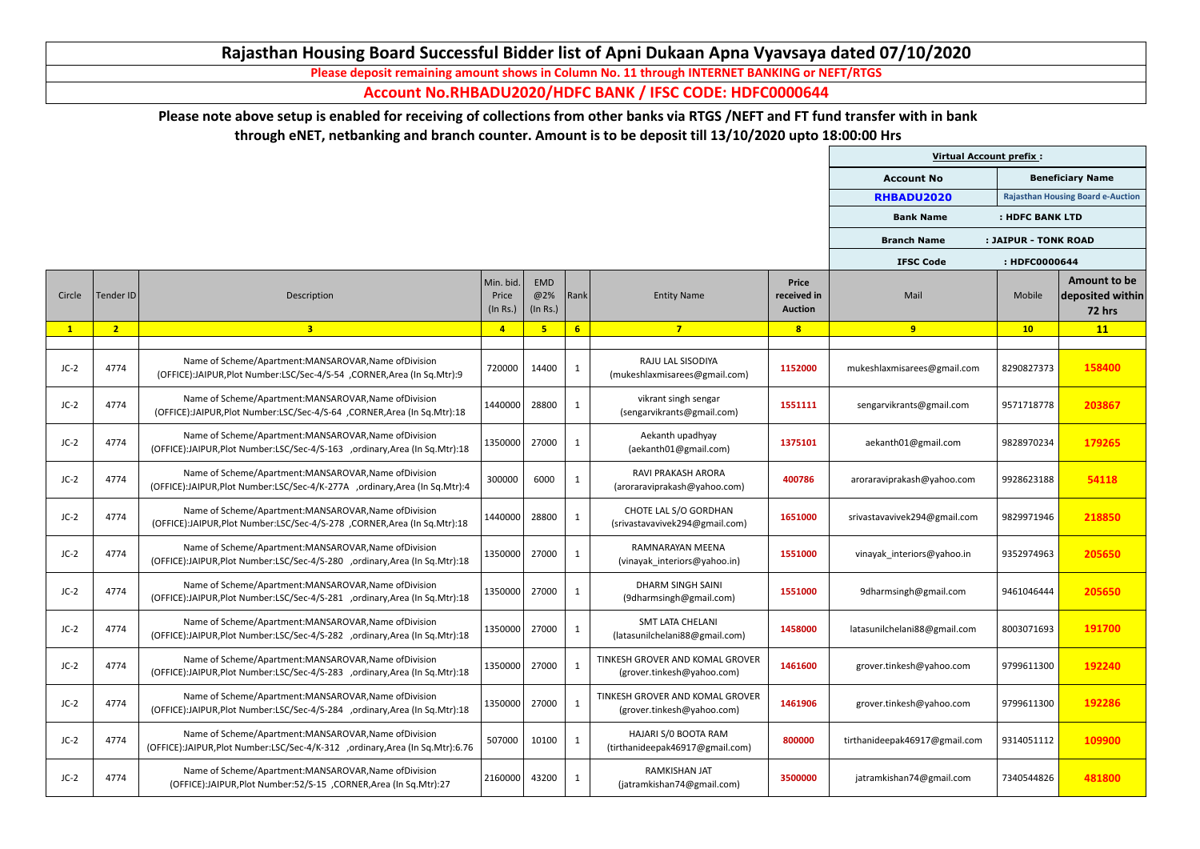|              |                |                                                                                                                                          |                                |                        |              |                                                               |                                               | <b>Virtual Account prefix:</b> |                      |                                                          |
|--------------|----------------|------------------------------------------------------------------------------------------------------------------------------------------|--------------------------------|------------------------|--------------|---------------------------------------------------------------|-----------------------------------------------|--------------------------------|----------------------|----------------------------------------------------------|
|              |                |                                                                                                                                          |                                |                        |              |                                                               |                                               | <b>Account No</b>              |                      | <b>Beneficiary Name</b>                                  |
|              |                |                                                                                                                                          |                                |                        |              |                                                               |                                               | RHBADU2020                     |                      | <b>Rajasthan Housing Board e-Auction</b>                 |
|              |                |                                                                                                                                          |                                |                        |              |                                                               |                                               | <b>Bank Name</b>               | : HDFC BANK LTD      |                                                          |
|              |                |                                                                                                                                          |                                |                        |              |                                                               |                                               | <b>Branch Name</b>             | : JAIPUR - TONK ROAD |                                                          |
|              |                |                                                                                                                                          |                                |                        |              |                                                               |                                               | <b>IFSC Code</b>               | : HDFC0000644        |                                                          |
| Circle       | Tender ID      | Description                                                                                                                              | Min. bid.<br>Price<br>(In Rs.) | EMD<br>@2%<br>(In Rs.) | Rank         | <b>Entity Name</b>                                            | <b>Price</b><br>received in<br><b>Auction</b> | Mail                           | Mobile               | <b>Amount to be</b><br>deposited within<br><b>72 hrs</b> |
| $\mathbf{1}$ | 2 <sub>2</sub> | 3 <sup>1</sup>                                                                                                                           | $\overline{4}$                 | 5                      | 6            | $7\overline{ }$                                               | 8                                             | 9                              | 10                   | 11                                                       |
| $JC-2$       | 4774           | Name of Scheme/Apartment:MANSAROVAR, Name of Division<br>(OFFICE):JAIPUR, Plot Number:LSC/Sec-4/S-54, CORNER, Area (In Sq. Mtr):9        | 720000                         | 14400                  | -1           | RAJU LAL SISODIYA<br>(mukeshlaxmisarees@gmail.com)            | 1152000                                       | mukeshlaxmisarees@gmail.com    | 8290827373           | 158400                                                   |
| $JC-2$       | 4774           | Name of Scheme/Apartment:MANSAROVAR, Name of Division<br>(OFFICE):JAIPUR, Plot Number:LSC/Sec-4/S-64, CORNER, Area (In Sq.Mtr):18        | 1440000                        | 28800                  | 1            | vikrant singh sengar<br>(sengarvikrants@gmail.com)            | 1551111                                       | sengarvikrants@gmail.com       | 9571718778           | 203867                                                   |
| $JC-2$       | 4774           | Name of Scheme/Apartment:MANSAROVAR, Name of Division<br>(OFFICE):JAIPUR, Plot Number:LSC/Sec-4/S-163 , ordinary, Area (In Sq.Mtr):18    | 1350000                        | 27000                  | $\mathbf{1}$ | Aekanth upadhyay<br>(aekanth01@gmail.com)                     | 1375101                                       | aekanth01@gmail.com            | 9828970234           | 179265                                                   |
| $JC-2$       | 4774           | Name of Scheme/Apartment:MANSAROVAR, Name of Division<br>(OFFICE):JAIPUR, Plot Number:LSC/Sec-4/K-277A , ordinary, Area (In Sq. Mtr):4   | 300000                         | 6000                   |              | <b>RAVI PRAKASH ARORA</b><br>(aroraraviprakash@yahoo.com)     | 400786                                        | aroraraviprakash@yahoo.com     | 9928623188           | 54118                                                    |
| $JC-2$       | 4774           | Name of Scheme/Apartment:MANSAROVAR, Name of Division<br>(OFFICE):JAIPUR,Plot Number:LSC/Sec-4/S-278 ,CORNER,Area (In Sq.Mtr):18         | 1440000                        | 28800                  | $\mathbf{1}$ | CHOTE LAL S/O GORDHAN<br>(srivastavavivek294@gmail.com)       | 1651000                                       | srivastavavivek294@gmail.com   | 9829971946           | 218850                                                   |
| $JC-2$       | 4774           | Name of Scheme/Apartment:MANSAROVAR, Name of Division<br>(OFFICE):JAIPUR, Plot Number:LSC/Sec-4/S-280 , ordinary, Area (In Sq. Mtr):18   | 1350000                        | 27000                  | $\mathbf{1}$ | RAMNARAYAN MEENA<br>(vinayak interiors@yahoo.in)              | 1551000                                       | vinayak interiors@yahoo.in     | 9352974963           | 205650                                                   |
| $JC-2$       | 4774           | Name of Scheme/Apartment:MANSAROVAR, Name of Division<br>(OFFICE):JAIPUR, Plot Number: LSC/Sec-4/S-281 , ordinary, Area (In Sq. Mtr): 18 | 1350000                        | 27000                  |              | DHARM SINGH SAINI<br>(9dharmsingh@gmail.com)                  | 1551000                                       | 9dharmsingh@gmail.com          | 9461046444           | 205650                                                   |
| $JC-2$       | 4774           | Name of Scheme/Apartment:MANSAROVAR, Name of Division<br>(OFFICE):JAIPUR, Plot Number: LSC/Sec-4/S-282 , ordinary, Area (In Sq. Mtr): 18 | 1350000                        | 27000                  | <sup>1</sup> | <b>SMT LATA CHELANI</b><br>(latasunilchelani88@gmail.com)     | 1458000                                       | latasunilchelani88@gmail.com   | 8003071693           | 191700                                                   |
| $JC-2$       | 4774           | Name of Scheme/Apartment:MANSAROVAR, Name of Division<br>(OFFICE):JAIPUR, Plot Number:LSC/Sec-4/S-283 , ordinary, Area (In Sq. Mtr):18   | 1350000                        | 27000                  |              | TINKESH GROVER AND KOMAL GROVER<br>(grover.tinkesh@yahoo.com) | 1461600                                       | grover.tinkesh@yahoo.com       | 9799611300           | 192240                                                   |
| $JC-2$       | 4774           | Name of Scheme/Apartment:MANSAROVAR, Name of Division<br>(OFFICE):JAIPUR, Plot Number:LSC/Sec-4/S-284 , ordinary, Area (In Sq. Mtr):18   | 1350000                        | 27000                  |              | TINKESH GROVER AND KOMAL GROVER<br>(grover.tinkesh@yahoo.com) | 1461906                                       | grover.tinkesh@yahoo.com       | 9799611300           | 192286                                                   |
| $JC-2$       | 4774           | Name of Scheme/Apartment:MANSAROVAR, Name of Division<br>(OFFICE):JAIPUR, Plot Number:LSC/Sec-4/K-312 , ordinary, Area (In Sq.Mtr):6.76  | 507000                         | 10100                  | <sup>1</sup> | HAJARI S/0 BOOTA RAM<br>(tirthanideepak46917@gmail.com)       | 800000                                        | tirthanideepak46917@gmail.com  | 9314051112           | 109900                                                   |
| $JC-2$       | 4774           | Name of Scheme/Apartment:MANSAROVAR, Name of Division<br>(OFFICE):JAIPUR, Plot Number: 52/S-15, CORNER, Area (In Sq. Mtr): 27            | 2160000                        | 43200                  |              | <b>RAMKISHAN JAT</b><br>(jatramkishan74@gmail.com)            | 3500000                                       | jatramkishan74@gmail.com       | 7340544826           | 481800                                                   |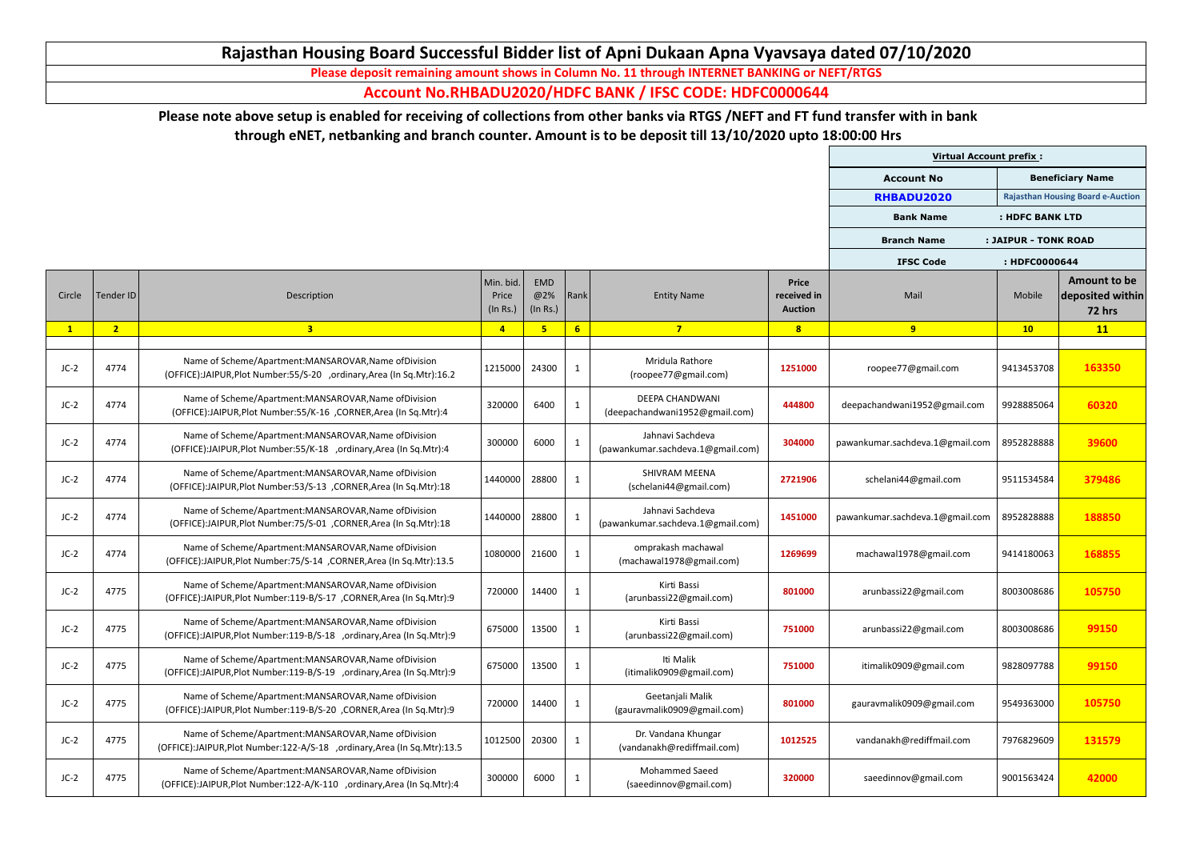|        |                |                                                                                                                                       |                                |                               |              |                                                          |                                               | <b>Virtual Account prefix:</b>  |                      |                                                          |
|--------|----------------|---------------------------------------------------------------------------------------------------------------------------------------|--------------------------------|-------------------------------|--------------|----------------------------------------------------------|-----------------------------------------------|---------------------------------|----------------------|----------------------------------------------------------|
|        |                |                                                                                                                                       |                                |                               |              |                                                          |                                               | <b>Account No</b>               |                      | <b>Beneficiary Name</b>                                  |
|        |                |                                                                                                                                       |                                |                               |              |                                                          |                                               | RHBADU2020                      |                      | <b>Rajasthan Housing Board e-Auction</b>                 |
|        |                |                                                                                                                                       |                                |                               |              |                                                          |                                               | <b>Bank Name</b>                | : HDFC BANK LTD      |                                                          |
|        |                |                                                                                                                                       |                                |                               |              |                                                          |                                               | <b>Branch Name</b>              | : JAIPUR - TONK ROAD |                                                          |
|        |                |                                                                                                                                       |                                |                               |              |                                                          |                                               | <b>IFSC Code</b>                | : HDFC0000644        |                                                          |
| Circle | Tender ID      | Description                                                                                                                           | Min. bid.<br>Price<br>(In Rs.) | <b>EMD</b><br>@2%<br>(In Rs.) | Rank         | <b>Entity Name</b>                                       | <b>Price</b><br>received in<br><b>Auction</b> | Mail                            | Mobile               | <b>Amount to be</b><br>deposited within<br><b>72 hrs</b> |
|        | 2 <sub>2</sub> | 3 <sup>1</sup>                                                                                                                        | $\overline{4}$                 | $5\overline{ }$               | 6            | $7\overline{}$                                           | 8                                             | 9                               | 10                   | 11                                                       |
| $JC-2$ | 4774           | Name of Scheme/Apartment:MANSAROVAR, Name of Division<br>(OFFICE):JAIPUR, Plot Number: 55/S-20 , ordinary, Area (In Sq. Mtr): 16.2    | 1215000                        | 24300                         | $\mathbf{1}$ | Mridula Rathore<br>(roopee77@gmail.com)                  | 1251000                                       | roopee77@gmail.com              | 9413453708           | 163350                                                   |
| $JC-2$ | 4774           | Name of Scheme/Apartment:MANSAROVAR, Name of Division<br>(OFFICE):JAIPUR, Plot Number: 55/K-16 , CORNER, Area (In Sq. Mtr): 4         | 320000                         | 6400                          | $\mathbf{1}$ | <b>DEEPA CHANDWANI</b><br>(deepachandwani1952@gmail.com) | 444800                                        | deepachandwani1952@gmail.com    | 9928885064           | 60320                                                    |
| $JC-2$ | 4774           | Name of Scheme/Apartment:MANSAROVAR, Name of Division<br>(OFFICE):JAIPUR, Plot Number: 55/K-18 , ordinary, Area (In Sq. Mtr): 4       | 300000                         | 6000                          | 1            | Jahnavi Sachdeva<br>(pawankumar.sachdeva.1@gmail.com)    | 304000                                        | pawankumar.sachdeva.1@gmail.com | 8952828888           | 39600                                                    |
| $JC-2$ | 4774           | Name of Scheme/Apartment:MANSAROVAR, Name of Division<br>(OFFICE):JAIPUR, Plot Number: 53/S-13, CORNER, Area (In Sq. Mtr): 18         | 1440000                        | 28800                         | $\mathbf{1}$ | <b>SHIVRAM MEENA</b><br>(schelani44@gmail.com)           | 2721906                                       | schelani44@gmail.com            | 9511534584           | 379486                                                   |
| $JC-2$ | 4774           | Name of Scheme/Apartment:MANSAROVAR, Name of Division<br>(OFFICE):JAIPUR, Plot Number: 75/S-01, CORNER, Area (In Sq. Mtr): 18         | 1440000                        | 28800                         | $\mathbf{1}$ | Jahnavi Sachdeva<br>(pawankumar.sachdeva.1@gmail.com)    | 1451000                                       | pawankumar.sachdeva.1@gmail.com | 8952828888           | 188850                                                   |
| $JC-2$ | 4774           | Name of Scheme/Apartment:MANSAROVAR, Name of Division<br>(OFFICE):JAIPUR, Plot Number: 75/S-14, CORNER, Area (In Sq. Mtr): 13.5       |                                | 1080000 21600                 | $\mathbf{1}$ | omprakash machawal<br>(machawal1978@gmail.com)           | 1269699                                       | machawal1978@gmail.com          | 9414180063           | 168855                                                   |
| $JC-2$ | 4775           | Name of Scheme/Apartment:MANSAROVAR, Name of Division<br>(OFFICE):JAIPUR, Plot Number: 119-B/S-17, CORNER, Area (In Sq. Mtr): 9       | 720000                         | 14400                         | $\mathbf{1}$ | Kirti Bassi<br>(arunbassi22@gmail.com)                   | 801000                                        | arunbassi22@gmail.com           | 8003008686           | 105750                                                   |
| $JC-2$ | 4775           | Name of Scheme/Apartment:MANSAROVAR, Name of Division<br>(OFFICE):JAIPUR, Plot Number: 119-B/S-18 , ordinary, Area (In Sq. Mtr): 9    | 675000                         | 13500                         | $\mathbf{1}$ | Kirti Bassi<br>(arunbassi22@gmail.com)                   | 751000                                        | arunbassi22@gmail.com           | 8003008686           | 99150                                                    |
| $JC-2$ | 4775           | Name of Scheme/Apartment:MANSAROVAR, Name of Division<br>(OFFICE):JAIPUR, Plot Number: 119-B/S-19 , ordinary, Area (In Sq. Mtr): 9    | 675000                         | 13500                         | $\mathbf{1}$ | Iti Malik<br>(itimalik0909@gmail.com)                    | 751000                                        | itimalik0909@gmail.com          | 9828097788           | 99150                                                    |
| $JC-2$ | 4775           | Name of Scheme/Apartment:MANSAROVAR, Name of Division<br>(OFFICE):JAIPUR, Plot Number: 119-B/S-20, CORNER, Area (In Sq. Mtr): 9       | 720000                         | 14400                         | $\mathbf{1}$ | Geetanjali Malik<br>(gauravmalik0909@gmail.com)          | 801000                                        | gauravmalik0909@gmail.com       | 9549363000           | 105750                                                   |
| $JC-2$ | 4775           | Name of Scheme/Apartment:MANSAROVAR, Name of Division<br>(OFFICE):JAIPUR, Plot Number: 122-A/S-18 , ordinary, Area (In Sq. Mtr): 13.5 | 1012500                        | 20300                         | $\mathbf{1}$ | Dr. Vandana Khungar<br>(vandanakh@rediffmail.com)        | 1012525                                       | vandanakh@rediffmail.com        | 7976829609           | 131579                                                   |
| $JC-2$ | 4775           | Name of Scheme/Apartment:MANSAROVAR, Name of Division<br>(OFFICE):JAIPUR, Plot Number: 122-A/K-110 , ordinary, Area (In Sq. Mtr): 4   | 300000                         | 6000                          | $\mathbf{1}$ | <b>Mohammed Saeed</b><br>(saeedinnov@gmail.com)          | 320000                                        | saeedinnov@gmail.com            | 9001563424           | 42000                                                    |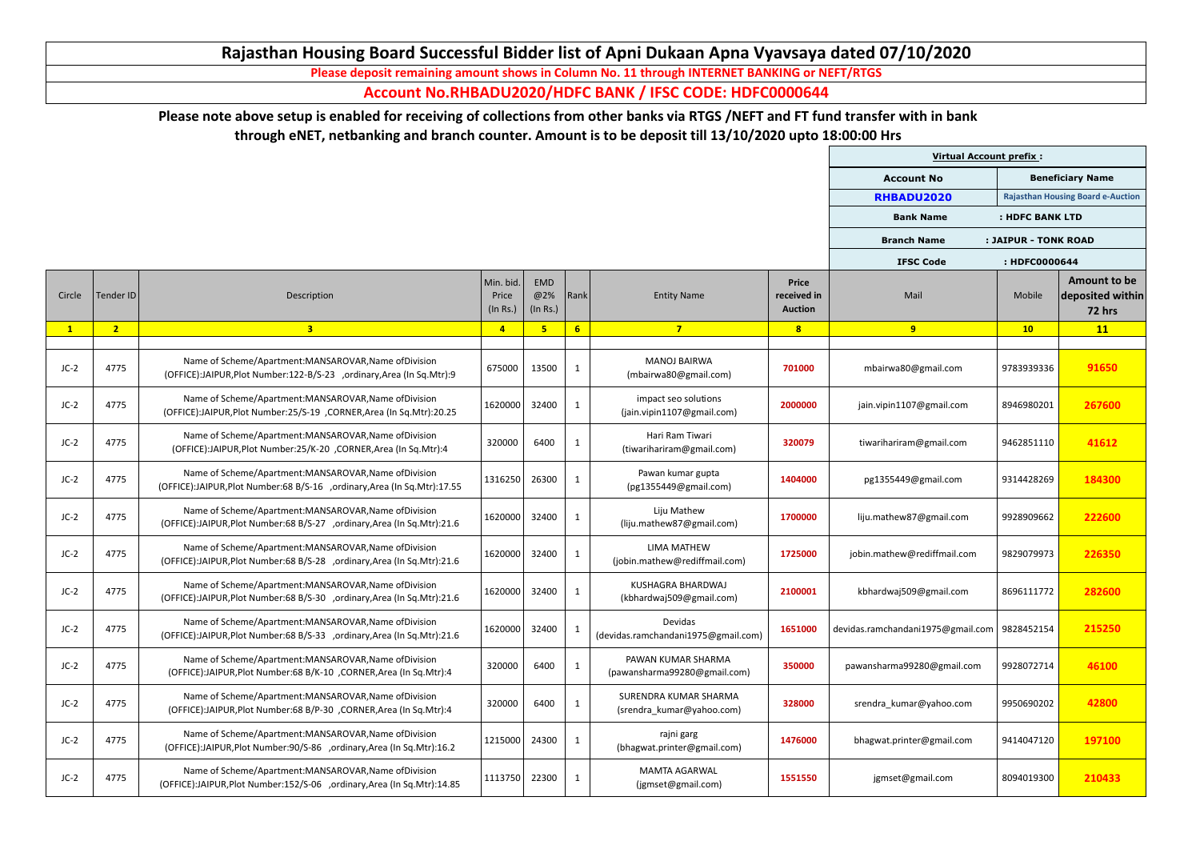|        |                |                                                                                                                                       |                                |                        |                |                                                      |                                               | <b>Virtual Account prefix:</b>    |                      |                                                          |
|--------|----------------|---------------------------------------------------------------------------------------------------------------------------------------|--------------------------------|------------------------|----------------|------------------------------------------------------|-----------------------------------------------|-----------------------------------|----------------------|----------------------------------------------------------|
|        |                |                                                                                                                                       |                                |                        |                |                                                      |                                               | <b>Account No</b>                 |                      | <b>Beneficiary Name</b>                                  |
|        |                |                                                                                                                                       |                                |                        |                |                                                      |                                               | RHBADU2020                        |                      | <b>Rajasthan Housing Board e-Auction</b>                 |
|        |                |                                                                                                                                       |                                |                        |                |                                                      |                                               | <b>Bank Name</b>                  | : HDFC BANK LTD      |                                                          |
|        |                |                                                                                                                                       |                                |                        |                |                                                      |                                               | <b>Branch Name</b>                | : JAIPUR - TONK ROAD |                                                          |
|        |                |                                                                                                                                       |                                |                        |                |                                                      |                                               | <b>IFSC Code</b>                  | : HDFC0000644        |                                                          |
| Circle | Tender ID      | Description                                                                                                                           | Min. bid.<br>Price<br>(In Rs.) | EMD<br>@2%<br>(In Rs.) | Rank           | <b>Entity Name</b>                                   | <b>Price</b><br>received in<br><b>Auction</b> | Mail                              | Mobile               | <b>Amount to be</b><br>deposited within<br><b>72 hrs</b> |
|        | 2 <sub>1</sub> | $\overline{\mathbf{3}}$                                                                                                               | $\overline{4}$                 | 5                      | 6 <sup>1</sup> | $\overline{7}$                                       | 8                                             | 9                                 | 10                   | 11                                                       |
| $JC-2$ | 4775           | Name of Scheme/Apartment:MANSAROVAR, Name of Division<br>(OFFICE):JAIPUR, Plot Number: 122-B/S-23 , ordinary, Area (In Sq. Mtr): 9    | 675000                         | 13500                  | $\mathbf{1}$   | <b>MANOJ BAIRWA</b><br>(mbairwa80@gmail.com)         | 701000                                        | mbairwa80@gmail.com               | 9783939336           | 91650                                                    |
| $JC-2$ | 4775           | Name of Scheme/Apartment:MANSAROVAR, Name of Division<br>(OFFICE):JAIPUR, Plot Number: 25/S-19 , CORNER, Area (In Sq. Mtr): 20.25     | 1620000                        | 32400                  |                | impact seo solutions<br>(jain.vipin1107@gmail.com)   | 2000000                                       | jain.vipin1107@gmail.com          | 8946980201           | 267600                                                   |
| $JC-2$ | 4775           | Name of Scheme/Apartment:MANSAROVAR, Name of Division<br>(OFFICE):JAIPUR, Plot Number:25/K-20, CORNER, Area (In Sq. Mtr):4            | 320000                         | 6400                   |                | Hari Ram Tiwari<br>(tiwarihariram@gmail.com)         | 320079                                        | tiwarihariram@gmail.com           | 9462851110           | 41612                                                    |
| $JC-2$ | 4775           | Name of Scheme/Apartment:MANSAROVAR, Name of Division<br>(OFFICE):JAIPUR, Plot Number: 68 B/S-16 , ordinary, Area (In Sq. Mtr): 17.55 | 1316250                        | 26300                  | $\mathbf{1}$   | Pawan kumar gupta<br>(pg1355449@gmail.com)           | 1404000                                       | pg1355449@gmail.com               | 9314428269           | 184300                                                   |
| $JC-2$ | 4775           | Name of Scheme/Apartment:MANSAROVAR, Name of Division<br>(OFFICE):JAIPUR, Plot Number: 68 B/S-27 , ordinary, Area (In Sq. Mtr): 21.6  | 1620000                        | 32400                  | $\mathbf{1}$   | Liju Mathew<br>(liju.mathew87@gmail.com)             | 1700000                                       | liju.mathew87@gmail.com           | 9928909662           | 222600                                                   |
| $JC-2$ | 4775           | Name of Scheme/Apartment:MANSAROVAR, Name of Division<br>(OFFICE):JAIPUR, Plot Number: 68 B/S-28 , ordinary, Area (In Sq. Mtr): 21.6  | 1620000                        | 32400                  | $\mathbf{1}$   | LIMA MATHEW<br>(jobin.mathew@rediffmail.com)         | 1725000                                       | jobin.mathew@rediffmail.com       | 9829079973           | 226350                                                   |
| $JC-2$ | 4775           | Name of Scheme/Apartment:MANSAROVAR, Name of Division<br>(OFFICE):JAIPUR, Plot Number: 68 B/S-30 , ordinary, Area (In Sq. Mtr): 21.6  | 1620000                        | 32400                  | -1             | <b>KUSHAGRA BHARDWAJ</b><br>(kbhardwaj509@gmail.com) | 2100001                                       | kbhardwaj509@gmail.com            | 8696111772           | 282600                                                   |
| $JC-2$ | 4775           | Name of Scheme/Apartment:MANSAROVAR, Name of Division<br>(OFFICE):JAIPUR, Plot Number: 68 B/S-33 , ordinary, Area (In Sq. Mtr): 21.6  | 1620000                        | 32400                  |                | Devidas<br>(devidas.ramchandani1975@gmail.com)       | 1651000                                       | devidas.ramchandani1975@gmail.com | 9828452154           | 215250                                                   |
| $JC-2$ | 4775           | Name of Scheme/Apartment:MANSAROVAR, Name of Division<br>(OFFICE):JAIPUR, Plot Number: 68 B/K-10, CORNER, Area (In Sq. Mtr): 4        | 320000                         | 6400                   |                | PAWAN KUMAR SHARMA<br>(pawansharma99280@gmail.com)   | 350000                                        | pawansharma99280@gmail.com        | 9928072714           | 46100                                                    |
| $JC-2$ | 4775           | Name of Scheme/Apartment:MANSAROVAR, Name of Division<br>(OFFICE):JAIPUR, Plot Number: 68 B/P-30, CORNER, Area (In Sq. Mtr): 4        | 320000                         | 6400                   | -1             | SURENDRA KUMAR SHARMA<br>(srendra kumar@yahoo.com)   | 328000                                        | srendra kumar@yahoo.com           | 9950690202           | 42800                                                    |
| $JC-2$ | 4775           | Name of Scheme/Apartment:MANSAROVAR, Name of Division<br>(OFFICE):JAIPUR, Plot Number: 90/S-86 , ordinary, Area (In Sq. Mtr): 16.2    | 1215000                        | 24300                  | -1             | rajni garg<br>(bhagwat.printer@gmail.com)            | 1476000                                       | bhagwat.printer@gmail.com         | 9414047120           | 197100                                                   |
| $JC-2$ | 4775           | Name of Scheme/Apartment:MANSAROVAR, Name of Division<br>(OFFICE):JAIPUR, Plot Number: 152/S-06 , ordinary, Area (In Sq. Mtr): 14.85  | 1113750                        | 22300                  |                | <b>MAMTA AGARWAL</b><br>(jgmset@gmail.com)           | 1551550                                       | jgmset@gmail.com                  | 8094019300           | 210433                                                   |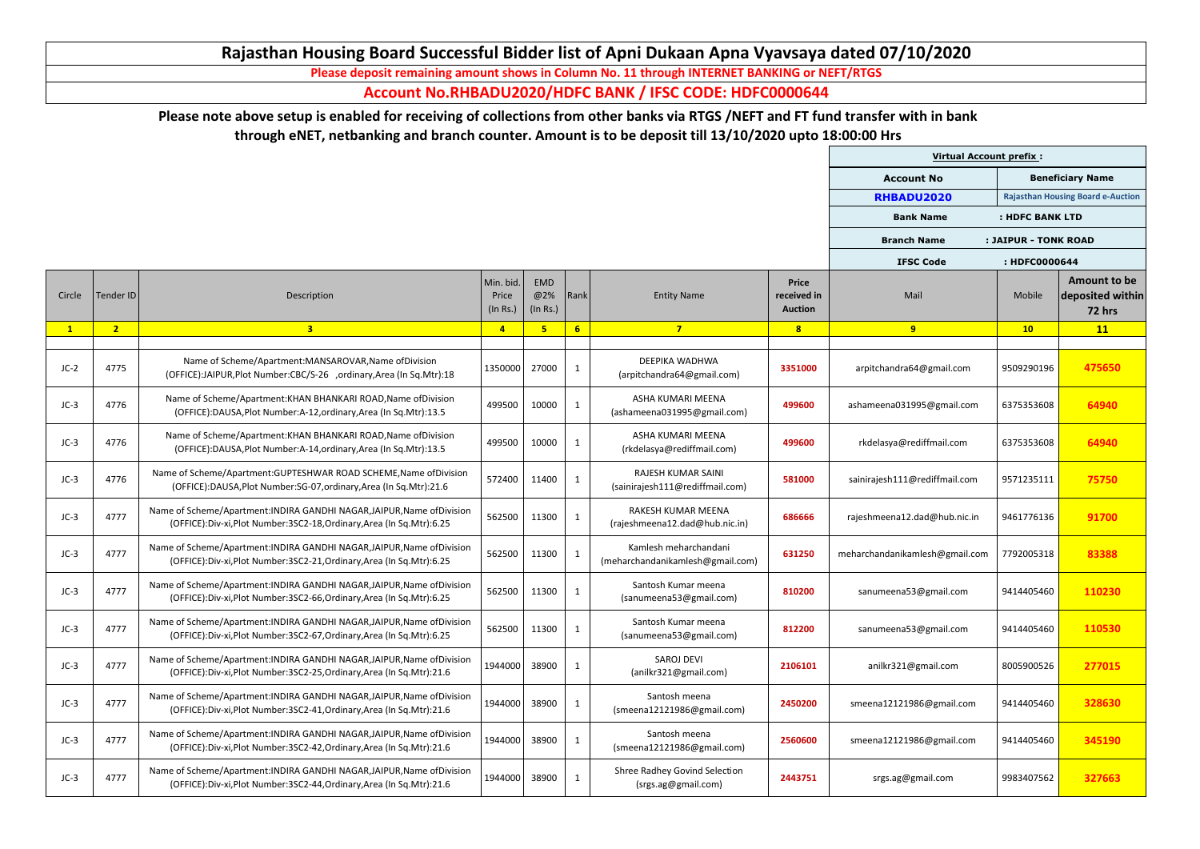|        |                |                                                                                                                                               |                                |                        |              |                                                              |                                               | <b>Virtual Account prefix:</b> |                      |                                                          |
|--------|----------------|-----------------------------------------------------------------------------------------------------------------------------------------------|--------------------------------|------------------------|--------------|--------------------------------------------------------------|-----------------------------------------------|--------------------------------|----------------------|----------------------------------------------------------|
|        |                |                                                                                                                                               |                                |                        |              |                                                              |                                               | <b>Account No</b>              |                      | <b>Beneficiary Name</b>                                  |
|        |                |                                                                                                                                               |                                |                        |              |                                                              |                                               | RHBADU2020                     |                      | <b>Rajasthan Housing Board e-Auction</b>                 |
|        |                |                                                                                                                                               |                                |                        |              |                                                              |                                               | <b>Bank Name</b>               | : HDFC BANK LTD      |                                                          |
|        |                |                                                                                                                                               |                                |                        |              |                                                              |                                               | <b>Branch Name</b>             | : JAIPUR - TONK ROAD |                                                          |
|        |                |                                                                                                                                               |                                |                        |              |                                                              |                                               | <b>IFSC Code</b>               | : HDFC0000644        |                                                          |
| Circle | Tender ID      | Description                                                                                                                                   | Min. bid.<br>Price<br>(In Rs.) | EMD<br>@2%<br>(In Rs.) | Rank         | <b>Entity Name</b>                                           | <b>Price</b><br>received in<br><b>Auction</b> | Mail                           | Mobile               | <b>Amount to be</b><br>deposited within<br><b>72 hrs</b> |
|        | 2 <sub>2</sub> | 3 <sup>1</sup>                                                                                                                                | $\overline{4}$                 | 5                      | 6            | $7\overline{}$                                               | 8                                             | 9                              | 10                   | 11                                                       |
| $JC-2$ | 4775           | Name of Scheme/Apartment:MANSAROVAR, Name of Division<br>(OFFICE):JAIPUR, Plot Number:CBC/S-26 , ordinary, Area (In Sq. Mtr): 18              | 1350000                        | 27000                  | $\mathbf{1}$ | DEEPIKA WADHWA<br>(arpitchandra64@gmail.com)                 | 3351000                                       | arpitchandra64@gmail.com       | 9509290196           | 475650                                                   |
| $JC-3$ | 4776           | Name of Scheme/Apartment: KHAN BHANKARI ROAD, Name of Division<br>(OFFICE):DAUSA, Plot Number: A-12, ordinary, Area (In Sq. Mtr): 13.5        | 499500                         | 10000                  | $\mathbf{1}$ | ASHA KUMARI MEENA<br>(ashameena031995@gmail.com)             | 499600                                        | ashameena031995@gmail.com      | 6375353608           | 64940                                                    |
| $JC-3$ | 4776           | Name of Scheme/Apartment: KHAN BHANKARI ROAD, Name of Division<br>(OFFICE):DAUSA, Plot Number: A-14, ordinary, Area (In Sq. Mtr): 13.5        | 499500                         | 10000                  | $\mathbf{1}$ | ASHA KUMARI MEENA<br>(rkdelasya@rediffmail.com)              | 499600                                        | rkdelasya@rediffmail.com       | 6375353608           | 64940                                                    |
| $JC-3$ | 4776           | Name of Scheme/Apartment:GUPTESHWAR ROAD SCHEME, Name of Division<br>(OFFICE):DAUSA, Plot Number: SG-07, ordinary, Area (In Sq. Mtr): 21.6    | 572400                         | 11400                  | $\mathbf{1}$ | <b>RAJESH KUMAR SAINI</b><br>(sainirajesh111@rediffmail.com) | 581000                                        | sainirajesh111@rediffmail.com  | 9571235111           | 75750                                                    |
| $JC-3$ | 4777           | Name of Scheme/Apartment: INDIRA GANDHI NAGAR, JAIPUR, Name of Division<br>(OFFICE):Div-xi,Plot Number:3SC2-18,Ordinary,Area (In Sq.Mtr):6.25 | 562500                         | 11300                  | $\mathbf{1}$ | RAKESH KUMAR MEENA<br>(rajeshmeena12.dad@hub.nic.in)         | 686666                                        | rajeshmeena12.dad@hub.nic.in   | 9461776136           | 91700                                                    |
| $JC-3$ | 4777           | Name of Scheme/Apartment: INDIRA GANDHI NAGAR, JAIPUR, Name of Division<br>(OFFICE):Div-xi,Plot Number:3SC2-21,Ordinary,Area (In Sq.Mtr):6.25 | 562500                         | 11300                  | $\mathbf{1}$ | Kamlesh meharchandani<br>(meharchandanikamlesh@gmail.com)    | 631250                                        | meharchandanikamlesh@gmail.com | 7792005318           | 83388                                                    |
| $JC-3$ | 4777           | Name of Scheme/Apartment: INDIRA GANDHI NAGAR, JAIPUR, Name of Division<br>(OFFICE):Div-xi,Plot Number:3SC2-66,Ordinary,Area (In Sq.Mtr):6.25 | 562500                         | 11300                  | $\mathbf{1}$ | Santosh Kumar meena<br>(sanumeena53@gmail.com)               | 810200                                        | sanumeena53@gmail.com          | 9414405460           | 110230                                                   |
| $JC-3$ | 4777           | Name of Scheme/Apartment: INDIRA GANDHI NAGAR, JAIPUR, Name of Division<br>(OFFICE):Div-xi,Plot Number:3SC2-67,Ordinary,Area (In Sq.Mtr):6.25 | 562500                         | 11300                  | $\mathbf{1}$ | Santosh Kumar meena<br>(sanumeena53@gmail.com)               | 812200                                        | sanumeena53@gmail.com          | 9414405460           | 110530                                                   |
| $JC-3$ | 4777           | Name of Scheme/Apartment: INDIRA GANDHI NAGAR, JAIPUR, Name of Division<br>(OFFICE):Div-xi,Plot Number:3SC2-25,Ordinary,Area (In Sq.Mtr):21.6 | 1944000                        | 38900                  | $\mathbf{1}$ | <b>SAROJ DEVI</b><br>(anilkr321@gmail.com)                   | 2106101                                       | anilkr321@gmail.com            | 8005900526           | 277015                                                   |
| $JC-3$ | 4777           | Name of Scheme/Apartment: INDIRA GANDHI NAGAR, JAIPUR, Name of Division<br>(OFFICE):Div-xi,Plot Number:3SC2-41,Ordinary,Area (In Sq.Mtr):21.6 | 1944000                        | 38900                  | $\mathbf{1}$ | Santosh meena<br>(smeena12121986@gmail.com)                  | 2450200                                       | smeena12121986@gmail.com       | 9414405460           | 328630                                                   |
| $JC-3$ | 4777           | Name of Scheme/Apartment: INDIRA GANDHI NAGAR, JAIPUR, Name of Division<br>(OFFICE):Div-xi,Plot Number:3SC2-42,Ordinary,Area (In Sq.Mtr):21.6 | 1944000                        | 38900                  | $\mathbf{1}$ | Santosh meena<br>(smeena12121986@gmail.com)                  | 2560600                                       | smeena12121986@gmail.com       | 9414405460           | 345190                                                   |
| $JC-3$ | 4777           | Name of Scheme/Apartment: INDIRA GANDHI NAGAR, JAIPUR, Name of Division<br>(OFFICE):Div-xi,Plot Number:3SC2-44,Ordinary,Area (In Sq.Mtr):21.6 | 1944000                        | 38900                  | $\mathbf{1}$ | Shree Radhey Govind Selection<br>(srgs.ag@gmail.com)         | 2443751                                       | srgs.ag@gmail.com              | 9983407562           | 327663                                                   |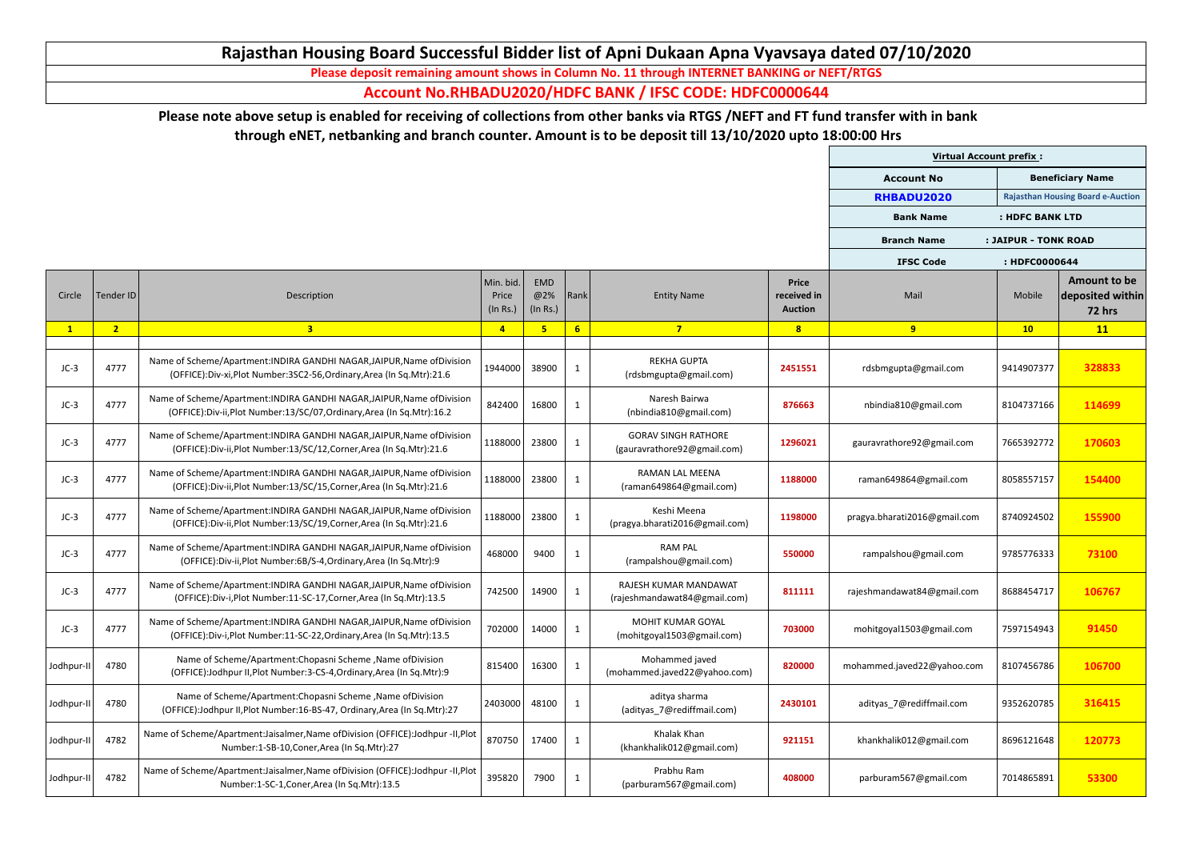|              |                |                                                                                                                                                |                                |                        |                 |                                                           |                                               | <b>Virtual Account prefix:</b> |                      |                                                          |
|--------------|----------------|------------------------------------------------------------------------------------------------------------------------------------------------|--------------------------------|------------------------|-----------------|-----------------------------------------------------------|-----------------------------------------------|--------------------------------|----------------------|----------------------------------------------------------|
|              |                |                                                                                                                                                |                                |                        |                 |                                                           |                                               | <b>Account No</b>              |                      | <b>Beneficiary Name</b>                                  |
|              |                |                                                                                                                                                |                                |                        |                 |                                                           |                                               | RHBADU2020                     |                      | <b>Rajasthan Housing Board e-Auction</b>                 |
|              |                |                                                                                                                                                |                                |                        |                 |                                                           |                                               | <b>Bank Name</b>               | : HDFC BANK LTD      |                                                          |
|              |                |                                                                                                                                                |                                |                        |                 |                                                           |                                               | <b>Branch Name</b>             | : JAIPUR - TONK ROAD |                                                          |
|              |                |                                                                                                                                                |                                |                        |                 |                                                           |                                               | <b>IFSC Code</b>               | : HDFC0000644        |                                                          |
| Circle       | Tender ID      | Description                                                                                                                                    | Min. bid.<br>Price<br>(In Rs.) | EMD<br>@2%<br>(In Rs.) | Rank            | <b>Entity Name</b>                                        | <b>Price</b><br>received in<br><b>Auction</b> | Mail                           | Mobile               | <b>Amount to be</b><br>deposited within<br><b>72 hrs</b> |
| $\mathbf{1}$ | 2 <sub>2</sub> | $\overline{\mathbf{3}}$                                                                                                                        | $\overline{4}$                 |                        | $6\overline{6}$ | $\overline{7}$                                            | 8                                             | 9                              | 10                   | 11                                                       |
| $JC-3$       | 4777           | Name of Scheme/Apartment: INDIRA GANDHI NAGAR, JAIPUR, Name of Division<br>(OFFICE):Div-xi,Plot Number:3SC2-56,Ordinary,Area (In Sq.Mtr):21.6  | 1944000                        | 38900                  | -1              | <b>REKHA GUPTA</b><br>(rdsbmgupta@gmail.com)              | 2451551                                       | rdsbmgupta@gmail.com           | 9414907377           | 328833                                                   |
| $JC-3$       | 4777           | Name of Scheme/Apartment: INDIRA GANDHI NAGAR, JAIPUR, Name of Division<br>(OFFICE):Div-ii,Plot Number:13/SC/07,Ordinary,Area (In Sq.Mtr):16.2 | 842400                         | 16800                  |                 | Naresh Bairwa<br>(nbindia810@gmail.com)                   | 876663                                        | nbindia810@gmail.com           | 8104737166           | 114699                                                   |
| $JC-3$       | 4777           | Name of Scheme/Apartment: INDIRA GANDHI NAGAR, JAIPUR, Name of Division<br>(OFFICE):Div-ii,Plot Number:13/SC/12,Corner,Area (In Sq.Mtr):21.6   | 1188000                        | 23800                  | -1              | <b>GORAV SINGH RATHORE</b><br>(gauravrathore92@gmail.com) | 1296021                                       | gauravrathore92@gmail.com      | 7665392772           | 170603                                                   |
| $JC-3$       | 4777           | Name of Scheme/Apartment: INDIRA GANDHI NAGAR, JAIPUR, Name of Division<br>(OFFICE):Div-ii,Plot Number:13/SC/15,Corner,Area (In Sq.Mtr):21.6   | 1188000                        | 23800                  | -1              | <b>RAMAN LAL MEENA</b><br>(raman649864@gmail.com)         | 1188000                                       | raman649864@gmail.com          | 8058557157           | 154400                                                   |
| $JC-3$       | 4777           | Name of Scheme/Apartment: INDIRA GANDHI NAGAR, JAIPUR, Name of Division<br>(OFFICE):Div-ii,Plot Number:13/SC/19,Corner,Area (In Sq.Mtr):21.6   | 1188000                        | 23800                  | <sup>1</sup>    | Keshi Meena<br>(pragya.bharati2016@gmail.com)             | 1198000                                       | pragya.bharati2016@gmail.com   | 8740924502           | 155900                                                   |
| $JC-3$       | 4777           | Name of Scheme/Apartment: INDIRA GANDHI NAGAR, JAIPUR, Name of Division<br>(OFFICE):Div-ii,Plot Number:6B/S-4,Ordinary,Area (In Sq.Mtr):9      | 468000                         | 9400                   |                 | <b>RAM PAL</b><br>(rampalshou@gmail.com)                  | 550000                                        | rampalshou@gmail.com           | 9785776333           | 73100                                                    |
| $JC-3$       | 4777           | Name of Scheme/Apartment: INDIRA GANDHI NAGAR, JAIPUR, Name of Division<br>(OFFICE):Div-i,Plot Number:11-SC-17,Corner,Area (In Sq.Mtr):13.5    | 742500                         | 14900                  | -1              | RAJESH KUMAR MANDAWAT<br>(rajeshmandawat84@gmail.com)     | 811111                                        | rajeshmandawat84@gmail.com     | 8688454717           | 106767                                                   |
| $JC-3$       | 4777           | Name of Scheme/Apartment: INDIRA GANDHI NAGAR, JAIPUR, Name of Division<br>(OFFICE):Div-i,Plot Number:11-SC-22,Ordinary,Area (In Sq.Mtr):13.5  | 702000                         | 14000                  |                 | <b>MOHIT KUMAR GOYAL</b><br>(mohitgoyal1503@gmail.com)    | 703000                                        | mohitgoyal1503@gmail.com       | 7597154943           | 91450                                                    |
| Jodhpur-II   | 4780           | Name of Scheme/Apartment:Chopasni Scheme, Name of Division<br>(OFFICE): Jodhpur II, Plot Number: 3-CS-4, Ordinary, Area (In Sq. Mtr): 9        | 815400                         | 16300                  |                 | Mohammed javed<br>(mohammed.javed22@yahoo.com)            | 820000                                        | mohammed.javed22@yahoo.com     | 8107456786           | 106700                                                   |
| Jodhpur-II   | 4780           | Name of Scheme/Apartment: Chopasni Scheme, Name of Division<br>(OFFICE):Jodhpur II, Plot Number: 16-BS-47, Ordinary, Area (In Sq. Mtr): 27     | 2403000                        | 48100                  | -1              | aditya sharma<br>(adityas 7@rediffmail.com)               | 2430101                                       | adityas 7@rediffmail.com       | 9352620785           | 316415                                                   |
| Jodhpur-II   | 4782           | Name of Scheme/Apartment:Jaisalmer, Name of Division (OFFICE): Jodhpur -II, Plot<br>Number:1-SB-10, Coner, Area (In Sq. Mtr):27                | 870750                         | 17400                  |                 | Khalak Khan<br>(khankhalik012@gmail.com)                  | 921151                                        | khankhalik012@gmail.com        | 8696121648           | 120773                                                   |
| Jodhpur-II   | 4782           | Name of Scheme/Apartment:Jaisalmer, Name of Division (OFFICE):Jodhpur -II, Plot<br>Number:1-SC-1, Coner, Area (In Sq. Mtr): 13.5               | 395820                         | 7900                   |                 | Prabhu Ram<br>(parburam567@gmail.com)                     | 408000                                        | parburam567@gmail.com          | 7014865891           | 53300                                                    |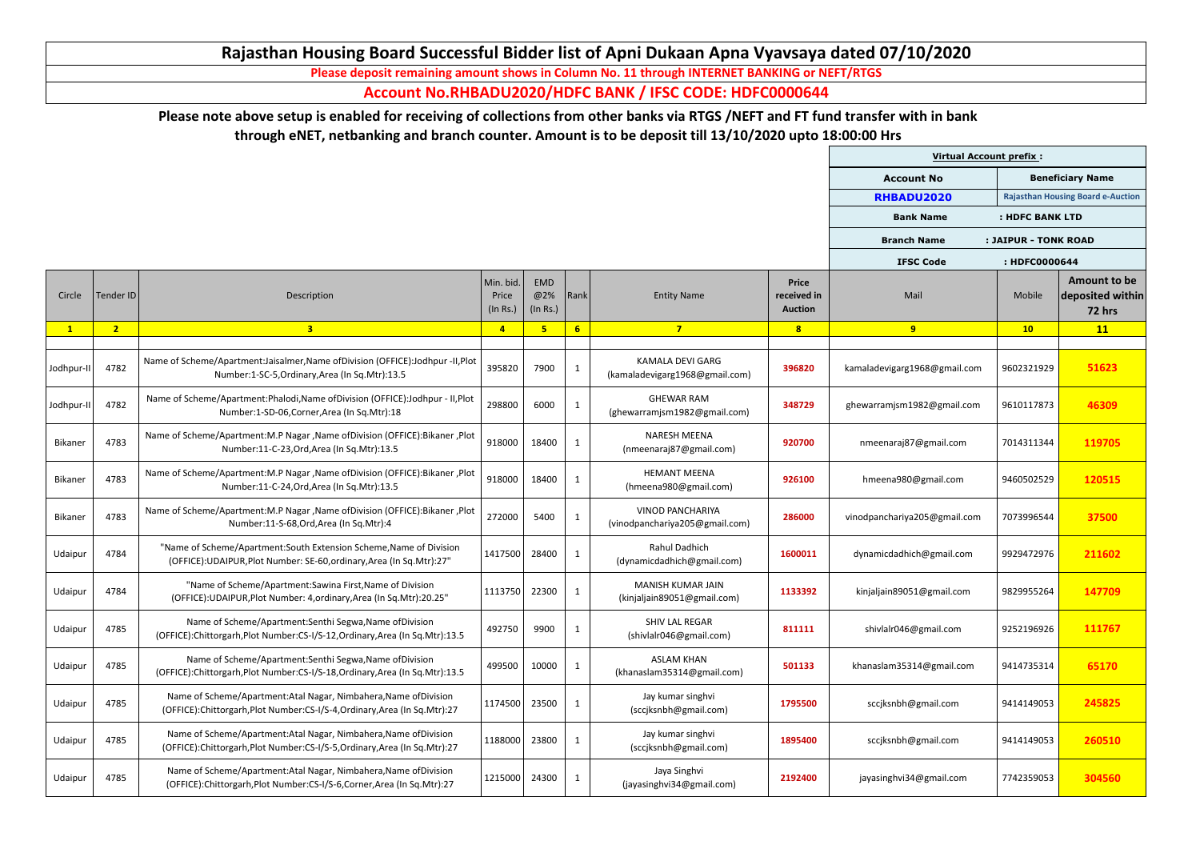|                |                |                                                                                                                                               |                                |                        |                |                                                           |                                               | <b>Virtual Account prefix:</b> |                      |                                                          |
|----------------|----------------|-----------------------------------------------------------------------------------------------------------------------------------------------|--------------------------------|------------------------|----------------|-----------------------------------------------------------|-----------------------------------------------|--------------------------------|----------------------|----------------------------------------------------------|
|                |                |                                                                                                                                               |                                |                        |                |                                                           |                                               | <b>Account No</b>              |                      | <b>Beneficiary Name</b>                                  |
|                |                |                                                                                                                                               |                                |                        |                |                                                           |                                               | RHBADU2020                     |                      | <b>Rajasthan Housing Board e-Auction</b>                 |
|                |                |                                                                                                                                               |                                |                        |                |                                                           |                                               | <b>Bank Name</b>               | : HDFC BANK LTD      |                                                          |
|                |                |                                                                                                                                               |                                |                        |                |                                                           |                                               | <b>Branch Name</b>             | : JAIPUR - TONK ROAD |                                                          |
|                |                |                                                                                                                                               |                                |                        |                |                                                           |                                               | <b>IFSC Code</b>               | : HDFC0000644        |                                                          |
| Circle         | Tender ID      | Description                                                                                                                                   | Min. bid.<br>Price<br>(In Rs.) | EMD<br>@2%<br>(In Rs.) | Rank           | <b>Entity Name</b>                                        | <b>Price</b><br>received in<br><b>Auction</b> | Mail                           | Mobile               | <b>Amount to be</b><br>deposited within<br><b>72 hrs</b> |
| $\mathbf{1}$   | 2 <sup>1</sup> | 3 <sup>1</sup>                                                                                                                                | $\overline{4}$                 | 5                      | 6 <sup>1</sup> | $7\overline{ }$                                           | 8                                             | 9                              | 10                   | 11                                                       |
| Jodhpur-II     | 4782           | Name of Scheme/Apartment:Jaisalmer, Name of Division (OFFICE):Jodhpur -II, Plot<br>Number:1-SC-5, Ordinary, Area (In Sq. Mtr):13.5            | 395820                         | 7900                   |                | <b>KAMALA DEVI GARG</b><br>(kamaladevigarg1968@gmail.com) | 396820                                        | kamaladevigarg1968@gmail.com   | 9602321929           | 51623                                                    |
| Jodhpur-II     | 4782           | Name of Scheme/Apartment:Phalodi,Name ofDivision (OFFICE):Jodhpur - II,Plot<br>Number:1-SD-06, Corner, Area (In Sq. Mtr): 18                  | 298800                         | 6000                   | -1             | <b>GHEWAR RAM</b><br>(ghewarramjsm1982@gmail.com)         | 348729                                        | ghewarramjsm1982@gmail.com     | 9610117873           | 46309                                                    |
| <b>Bikaner</b> | 4783           | Name of Scheme/Apartment:M.P Nagar, Name of Division (OFFICE): Bikaner, Plot<br>Number:11-C-23, Ord, Area (In Sq. Mtr):13.5                   | 918000                         | 18400                  | -1             | <b>NARESH MEENA</b><br>(nmeenaraj87@gmail.com)            | 920700                                        | nmeenaraj87@gmail.com          | 7014311344           | 119705                                                   |
| <b>Bikaner</b> | 4783           | Name of Scheme/Apartment:M.P Nagar, Name of Division (OFFICE): Bikaner, Plot<br>Number:11-C-24, Ord, Area (In Sq. Mtr):13.5                   | 918000                         | 18400                  |                | <b>HEMANT MEENA</b><br>(hmeena980@gmail.com)              | 926100                                        | hmeena980@gmail.com            | 9460502529           | 120515                                                   |
| Bikaner        | 4783           | Name of Scheme/Apartment:M.P Nagar, Name of Division (OFFICE): Bikaner, Plot<br>Number:11-S-68, Ord, Area (In Sq. Mtr):4                      | 272000                         | 5400                   |                | <b>VINOD PANCHARIYA</b><br>(vinodpanchariya205@gmail.com) | 286000                                        | vinodpanchariya205@gmail.com   | 7073996544           | 37500                                                    |
| Udaipur        | 4784           | "Name of Scheme/Apartment:South Extension Scheme, Name of Division<br>(OFFICE): UDAIPUR, Plot Number: SE-60, ordinary, Area (In Sq. Mtr): 27" | 1417500                        | 28400                  | $\mathbf{1}$   | Rahul Dadhich<br>(dynamicdadhich@gmail.com)               | 1600011                                       | dynamicdadhich@gmail.com       | 9929472976           | 211602                                                   |
| Udaipur        | 4784           | "Name of Scheme/Apartment:Sawina First, Name of Division<br>(OFFICE): UDAIPUR, Plot Number: 4, ordinary, Area (In Sq. Mtr): 20.25"            | 1113750                        | 22300                  | -1             | <b>MANISH KUMAR JAIN</b><br>(kinjaljain89051@gmail.com)   | 1133392                                       | kinjaljain89051@gmail.com      | 9829955264           | 147709                                                   |
| Udaipur        | 4785           | Name of Scheme/Apartment:Senthi Segwa, Name of Division<br>(OFFICE):Chittorgarh,Plot Number:CS-I/S-12,Ordinary,Area (In Sq.Mtr):13.5          | 492750                         | 9900                   |                | <b>SHIV LAL REGAR</b><br>(shivlalr046@gmail.com)          | 811111                                        | shivlalr046@gmail.com          | 9252196926           | 111767                                                   |
| Udaipur        | 4785           | Name of Scheme/Apartment:Senthi Segwa, Name of Division<br>(OFFICE):Chittorgarh,Plot Number:CS-I/S-18,Ordinary,Area (In Sq.Mtr):13.5          | 499500                         | 10000                  |                | <b>ASLAM KHAN</b><br>(khanaslam35314@gmail.com)           | 501133                                        | khanaslam35314@gmail.com       | 9414735314           | 65170                                                    |
| Udaipur        | 4785           | Name of Scheme/Apartment:Atal Nagar, Nimbahera, Name of Division<br>(OFFICE):Chittorgarh,Plot Number:CS-I/S-4,Ordinary,Area (In Sq.Mtr):27    | 1174500                        | 23500                  | -1             | Jay kumar singhvi<br>(sccjksnbh@gmail.com)                | 1795500                                       | sccjksnbh@gmail.com            | 9414149053           | 245825                                                   |
| Udaipur        | 4785           | Name of Scheme/Apartment:Atal Nagar, Nimbahera, Name of Division<br>(OFFICE):Chittorgarh,Plot Number:CS-I/S-5,Ordinary,Area (In Sq.Mtr):27    | 1188000                        | 23800                  |                | Jay kumar singhvi<br>(sccjksnbh@gmail.com)                | 1895400                                       | sccjksnbh@gmail.com            | 9414149053           | 260510                                                   |
| Udaipur        | 4785           | Name of Scheme/Apartment:Atal Nagar, Nimbahera, Name of Division<br>(OFFICE):Chittorgarh,Plot Number:CS-I/S-6,Corner,Area (In Sq.Mtr):27      | 1215000                        | 24300                  |                | Jaya Singhvi<br>(jayasinghvi34@gmail.com)                 | 2192400                                       | jayasinghvi34@gmail.com        | 7742359053           | 304560                                                   |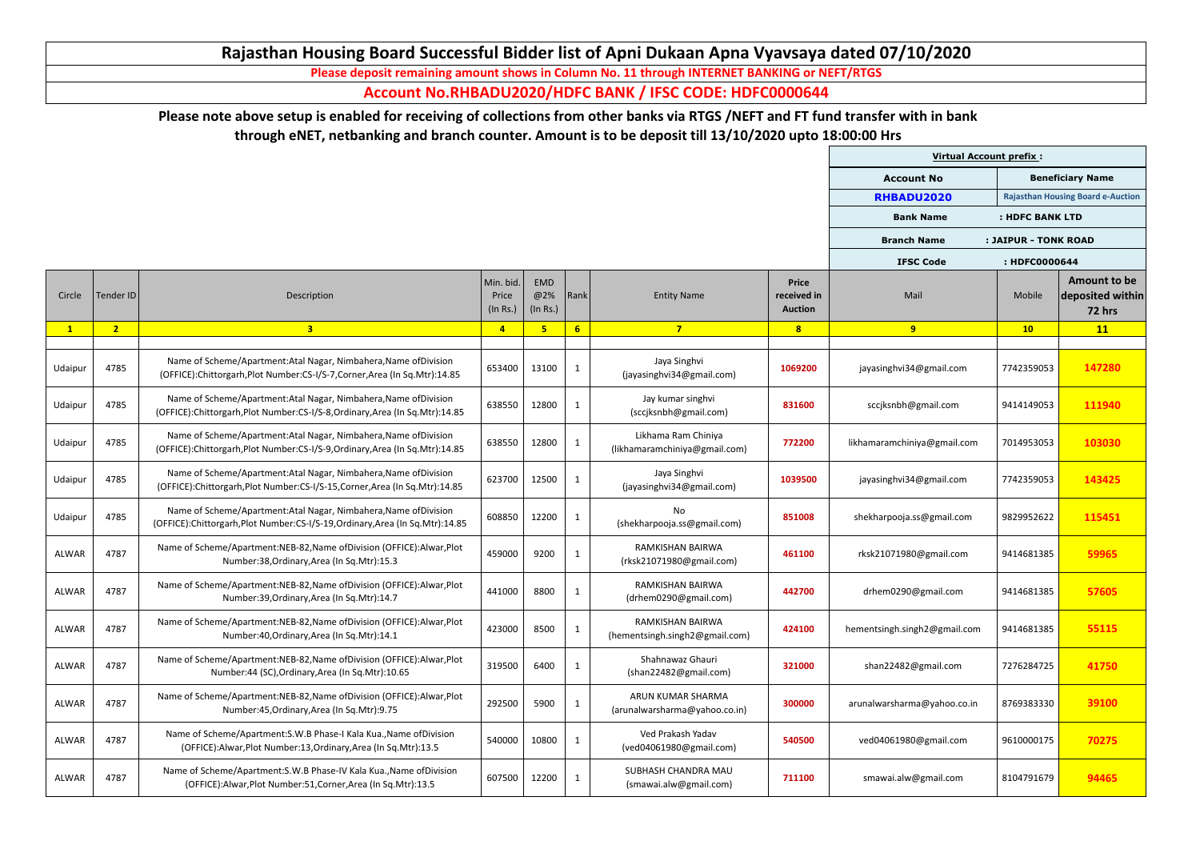|              |                |                                                                                                                                                |                                |                        |                |                                                      |                                               | <b>Virtual Account prefix:</b> |                      |                                                          |
|--------------|----------------|------------------------------------------------------------------------------------------------------------------------------------------------|--------------------------------|------------------------|----------------|------------------------------------------------------|-----------------------------------------------|--------------------------------|----------------------|----------------------------------------------------------|
|              |                |                                                                                                                                                |                                |                        |                |                                                      |                                               | <b>Account No</b>              |                      | <b>Beneficiary Name</b>                                  |
|              |                |                                                                                                                                                |                                |                        |                |                                                      |                                               | RHBADU2020                     |                      | <b>Rajasthan Housing Board e-Auction</b>                 |
|              |                |                                                                                                                                                |                                |                        |                |                                                      |                                               | <b>Bank Name</b>               | : HDFC BANK LTD      |                                                          |
|              |                |                                                                                                                                                |                                |                        |                |                                                      |                                               | <b>Branch Name</b>             | : JAIPUR - TONK ROAD |                                                          |
|              |                |                                                                                                                                                |                                |                        |                |                                                      |                                               | <b>IFSC Code</b>               | : HDFC0000644        |                                                          |
| Circle       | Tender ID      | Description                                                                                                                                    | Min. bid.<br>Price<br>(In Rs.) | EMD<br>@2%<br>(In Rs.) | Rank           | <b>Entity Name</b>                                   | <b>Price</b><br>received in<br><b>Auction</b> | Mail                           | Mobile               | <b>Amount to be</b><br>deposited within<br><b>72 hrs</b> |
| $\mathbf{1}$ | 2 <sub>2</sub> | $\overline{\mathbf{3}}$                                                                                                                        | $\overline{4}$                 | 5                      | 6 <sup>1</sup> | $\overline{\mathbf{7}}$                              | 8                                             | 9                              | 10                   | 11                                                       |
| Udaipur      | 4785           | Name of Scheme/Apartment:Atal Nagar, Nimbahera, Name of Division<br>(OFFICE):Chittorgarh,Plot Number:CS-I/S-7,Corner,Area (In Sq.Mtr):14.85    | 653400                         | 13100                  | $\mathbf{1}$   | Jaya Singhvi<br>(jayasinghvi34@gmail.com)            | 1069200                                       | jayasinghvi34@gmail.com        | 7742359053           | 147280                                                   |
| Udaipur      | 4785           | Name of Scheme/Apartment:Atal Nagar, Nimbahera, Name of Division<br>(OFFICE):Chittorgarh,Plot Number:CS-I/S-8,Ordinary,Area (In Sq.Mtr):14.85  | 638550                         | 12800                  |                | Jay kumar singhvi<br>(sccjksnbh@gmail.com)           | 831600                                        | sccjksnbh@gmail.com            | 9414149053           | 111940                                                   |
| Udaipur      | 4785           | Name of Scheme/Apartment:Atal Nagar, Nimbahera, Name of Division<br>(OFFICE):Chittorgarh,Plot Number:CS-I/S-9,Ordinary,Area (In Sq.Mtr):14.85  | 638550                         | 12800                  | -1             | Likhama Ram Chiniya<br>(likhamaramchiniya@gmail.com) | 772200                                        | likhamaramchiniya@gmail.com    | 7014953053           | 103030                                                   |
| Udaipur      | 4785           | Name of Scheme/Apartment:Atal Nagar, Nimbahera, Name of Division<br>(OFFICE):Chittorgarh,Plot Number:CS-I/S-15,Corner,Area (In Sq.Mtr):14.85   | 623700                         | 12500                  | -1             | Jaya Singhvi<br>(jayasinghvi34@gmail.com)            | 1039500                                       | jayasinghvi34@gmail.com        | 7742359053           | 143425                                                   |
| Udaipur      | 4785           | Name of Scheme/Apartment:Atal Nagar, Nimbahera, Name of Division<br>(OFFICE):Chittorgarh,Plot Number:CS-I/S-19,Ordinary,Area (In Sq.Mtr):14.85 | 608850                         | 12200                  | $\mathbf{1}$   | No.<br>(shekharpooja.ss@gmail.com)                   | 851008                                        | shekharpooja.ss@gmail.com      | 9829952622           | 115451                                                   |
| ALWAR        | 4787           | Name of Scheme/Apartment:NEB-82, Name of Division (OFFICE): Alwar, Plot<br>Number:38, Ordinary, Area (In Sq. Mtr): 15.3                        | 459000                         | 9200                   |                | <b>RAMKISHAN BAIRWA</b><br>(rksk21071980@gmail.com)  | 461100                                        | rksk21071980@gmail.com         | 9414681385           | 59965                                                    |
| ALWAR        | 4787           | Name of Scheme/Apartment:NEB-82, Name of Division (OFFICE): Alwar, Plot<br>Number:39, Ordinary, Area (In Sq. Mtr): 14.7                        | 441000                         | 8800                   |                | <b>RAMKISHAN BAIRWA</b><br>(drhem0290@gmail.com)     | 442700                                        | drhem0290@gmail.com            | 9414681385           | 57605                                                    |
| ALWAR        | 4787           | Name of Scheme/Apartment:NEB-82, Name of Division (OFFICE): Alwar, Plot<br>Number:40, Ordinary, Area (In Sq. Mtr): 14.1                        | 423000                         | 8500                   |                | RAMKISHAN BAIRWA<br>(hementsingh.singh2@gmail.com)   | 424100                                        | hementsingh.singh2@gmail.com   | 9414681385           | 55115                                                    |
| ALWAR        | 4787           | Name of Scheme/Apartment:NEB-82, Name of Division (OFFICE):Alwar, Plot<br>Number:44 (SC), Ordinary, Area (In Sq. Mtr): 10.65                   | 319500                         | 6400                   |                | Shahnawaz Ghauri<br>(shan22482@gmail.com)            | 321000                                        | shan22482@gmail.com            | 7276284725           | 41750                                                    |
| ALWAR        | 4787           | Name of Scheme/Apartment:NEB-82, Name of Division (OFFICE): Alwar, Plot<br>Number:45, Ordinary, Area (In Sq. Mtr): 9.75                        | 292500                         | 5900                   | <sup>1</sup>   | ARUN KUMAR SHARMA<br>(arunalwarsharma@yahoo.co.in)   | 300000                                        | arunalwarsharma@yahoo.co.in    | 8769383330           | 39100                                                    |
| ALWAR        | 4787           | Name of Scheme/Apartment:S.W.B Phase-I Kala Kua., Name of Division<br>(OFFICE): Alwar, Plot Number: 13, Ordinary, Area (In Sq. Mtr): 13.5      | 540000                         | 10800                  |                | Ved Prakash Yadav<br>(ved04061980@gmail.com)         | 540500                                        | ved04061980@gmail.com          | 9610000175           | 70275                                                    |
| ALWAR        | 4787           | Name of Scheme/Apartment: S.W.B Phase-IV Kala Kua., Name of Division<br>(OFFICE):Alwar,Plot Number:51,Corner,Area (In Sq.Mtr):13.5             | 607500                         | 12200                  |                | SUBHASH CHANDRA MAU<br>(smawai.alw@gmail.com)        | 711100                                        | smawai.alw@gmail.com           | 8104791679           | 94465                                                    |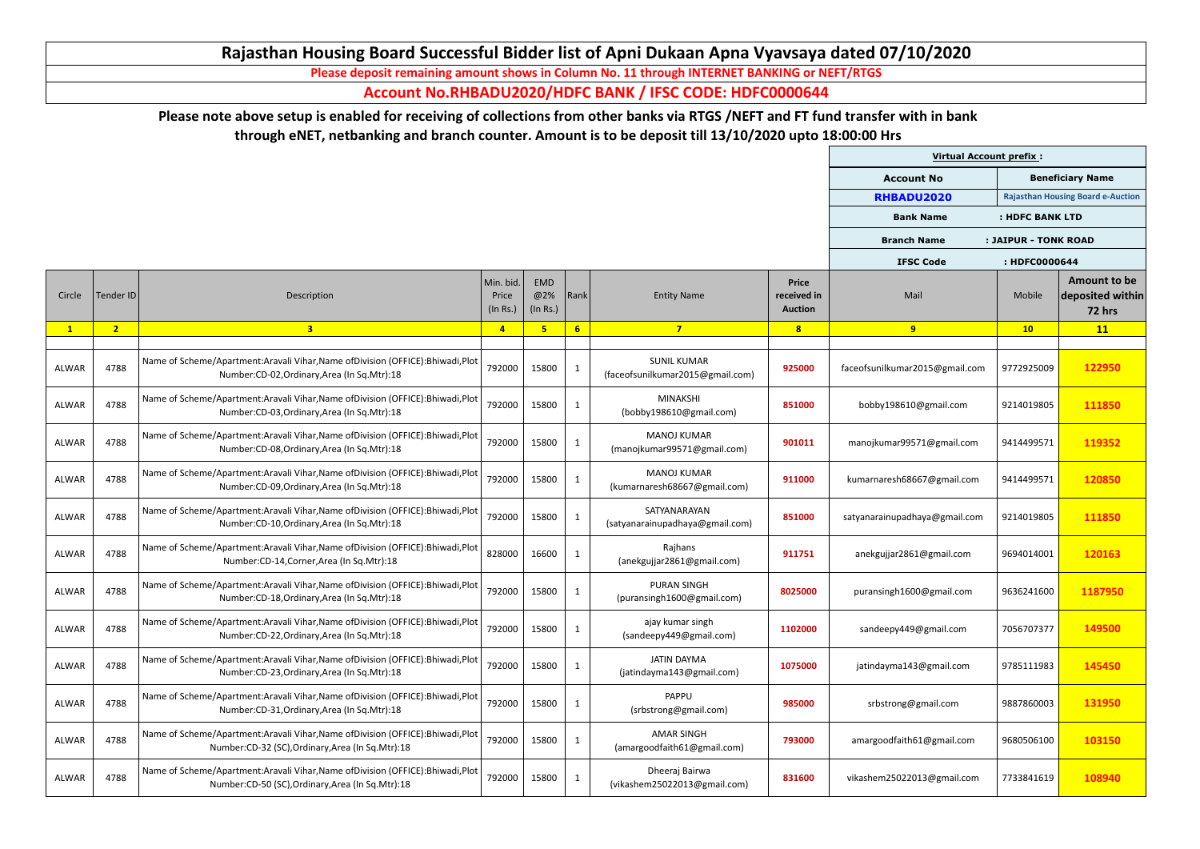|              |                |                                                                                                                                         |                                |                        |                |                                                        |                                               | <b>Virtual Account prefix:</b> |                      |                                                          |
|--------------|----------------|-----------------------------------------------------------------------------------------------------------------------------------------|--------------------------------|------------------------|----------------|--------------------------------------------------------|-----------------------------------------------|--------------------------------|----------------------|----------------------------------------------------------|
|              |                |                                                                                                                                         |                                |                        |                |                                                        |                                               | <b>Account No</b>              |                      | <b>Beneficiary Name</b>                                  |
|              |                |                                                                                                                                         |                                |                        |                |                                                        |                                               | RHBADU2020                     |                      | <b>Rajasthan Housing Board e-Auction</b>                 |
|              |                |                                                                                                                                         |                                |                        |                |                                                        |                                               | <b>Bank Name</b>               | : HDFC BANK LTD      |                                                          |
|              |                |                                                                                                                                         |                                |                        |                |                                                        |                                               | <b>Branch Name</b>             | : JAIPUR - TONK ROAD |                                                          |
|              |                |                                                                                                                                         |                                |                        |                |                                                        |                                               | <b>IFSC Code</b>               | : HDFC0000644        |                                                          |
| Circle       | Tender ID      | Description                                                                                                                             | Min. bid.<br>Price<br>(In Rs.) | EMD<br>@2%<br>(In Rs.) | Rank           | <b>Entity Name</b>                                     | <b>Price</b><br>received in<br><b>Auction</b> | Mail                           | Mobile               | <b>Amount to be</b><br>deposited within<br><b>72 hrs</b> |
| $\mathbf{1}$ | 2 <sup>1</sup> | $\overline{\mathbf{3}}$                                                                                                                 | $\overline{4}$                 |                        | $6\phantom{1}$ | $\overline{7}$                                         | 8                                             | 9                              | 10                   | 11                                                       |
| ALWAR        | 4788           | Name of Scheme/Apartment:Aravali Vihar, Name of Division (OFFICE): Bhiwadi, Plot<br>Number:CD-02, Ordinary, Area (In Sq. Mtr):18        | 792000                         | 15800                  | 1              | <b>SUNIL KUMAR</b><br>(faceofsunilkumar2015@gmail.com) | 925000                                        | faceofsunilkumar2015@gmail.com | 9772925009           | 122950                                                   |
| ALWAR        | 4788           | Name of Scheme/Apartment:Aravali Vihar, Name of Division (OFFICE): Bhiwadi, Plot<br>Number:CD-03, Ordinary, Area (In Sq. Mtr):18        | 792000                         | 15800                  |                | <b>MINAKSHI</b><br>(bobby198610@gmail.com)             | 851000                                        | bobby198610@gmail.com          | 9214019805           | 111850                                                   |
| ALWAR        | 4788           | Name of Scheme/Apartment:Aravali Vihar,Name ofDivision (OFFICE):Bhiwadi,Plot<br>Number:CD-08, Ordinary, Area (In Sq. Mtr): 18           | 792000                         | 15800                  | 1              | <b>MANOJ KUMAR</b><br>(manojkumar99571@gmail.com)      | 901011                                        | manojkumar99571@gmail.com      | 9414499571           | 119352                                                   |
| ALWAR        | 4788           | Name of Scheme/Apartment:Aravali Vihar, Name of Division (OFFICE): Bhiwadi, Plot<br>Number:CD-09, Ordinary, Area (In Sq. Mtr): 18       | 792000                         | 15800                  | $\mathbf{1}$   | <b>MANOJ KUMAR</b><br>(kumarnaresh68667@gmail.com)     | 911000                                        | kumarnaresh68667@gmail.com     | 9414499571           | 120850                                                   |
| ALWAR        | 4788           | Name of Scheme/Apartment:Aravali Vihar,Name ofDivision (OFFICE):Bhiwadi,Plot<br>Number:CD-10, Ordinary, Area (In Sq. Mtr): 18           | 792000                         | 15800                  | <sup>1</sup>   | SATYANARAYAN<br>(satyanarainupadhaya@gmail.com)        | 851000                                        | satyanarainupadhaya@gmail.com  | 9214019805           | 111850                                                   |
| ALWAR        | 4788           | Name of Scheme/Apartment:Aravali Vihar, Name of Division (OFFICE): Bhiwadi, Plot<br>Number:CD-14, Corner, Area (In Sq. Mtr):18          | 828000                         | 16600                  |                | Rajhans<br>(anekgujjar2861@gmail.com)                  | 911751                                        | anekgujjar2861@gmail.com       | 9694014001           | 120163                                                   |
| ALWAR        | 4788           | Name of Scheme/Apartment:Aravali Vihar, Name of Division (OFFICE): Bhiwadi, Plot<br>Number: CD-18, Ordinary, Area (In Sq. Mtr): 18      | 792000                         | 15800                  |                | <b>PURAN SINGH</b><br>(puransingh1600@gmail.com)       | 8025000                                       | puransingh1600@gmail.com       | 9636241600           | 1187950                                                  |
| ALWAR        | 4788           | Name of Scheme/Apartment:Aravali Vihar, Name of Division (OFFICE): Bhiwadi, Plot<br>Number:CD-22, Ordinary, Area (In Sq. Mtr):18        | 792000                         | 15800                  |                | ajay kumar singh<br>(sandeepy449@gmail.com)            | 1102000                                       | sandeepy449@gmail.com          | 7056707377           | 149500                                                   |
| ALWAR        | 4788           | Name of Scheme/Apartment:Aravali Vihar, Name of Division (OFFICE): Bhiwadi, Plot<br>Number:CD-23, Ordinary, Area (In Sq. Mtr):18        | 792000                         | 15800                  |                | <b>JATIN DAYMA</b><br>(jatindayma143@gmail.com)        | 1075000                                       | jatindayma143@gmail.com        | 9785111983           | 145450                                                   |
| ALWAR        | 4788           | Name of Scheme/Apartment:Aravali Vihar, Name of Division (OFFICE): Bhiwadi, Plot<br>Number: CD-31, Ordinary, Area (In Sq. Mtr): 18      | 792000                         | 15800                  | -1             | PAPPU<br>(srbstrong@gmail.com)                         | 985000                                        | srbstrong@gmail.com            | 9887860003           | 131950                                                   |
| ALWAR        | 4788           | Name of Scheme/Apartment:Aravali Vihar, Name of Division (OFFICE): Bhiwadi, Plot<br>Number: CD-32 (SC), Ordinary, Area (In Sq. Mtr): 18 | 792000                         | 15800                  |                | <b>AMAR SINGH</b><br>(amargoodfaith61@gmail.com)       | 793000                                        | amargoodfaith61@gmail.com      | 9680506100           | 103150                                                   |
| ALWAR        | 4788           | Name of Scheme/Apartment:Aravali Vihar, Name of Division (OFFICE): Bhiwadi, Plot<br>Number: CD-50 (SC), Ordinary, Area (In Sq. Mtr): 18 | 792000                         | 15800                  |                | Dheeraj Bairwa<br>(vikashem25022013@gmail.com)         | 831600                                        | vikashem25022013@gmail.com     | 7733841619           | 108940                                                   |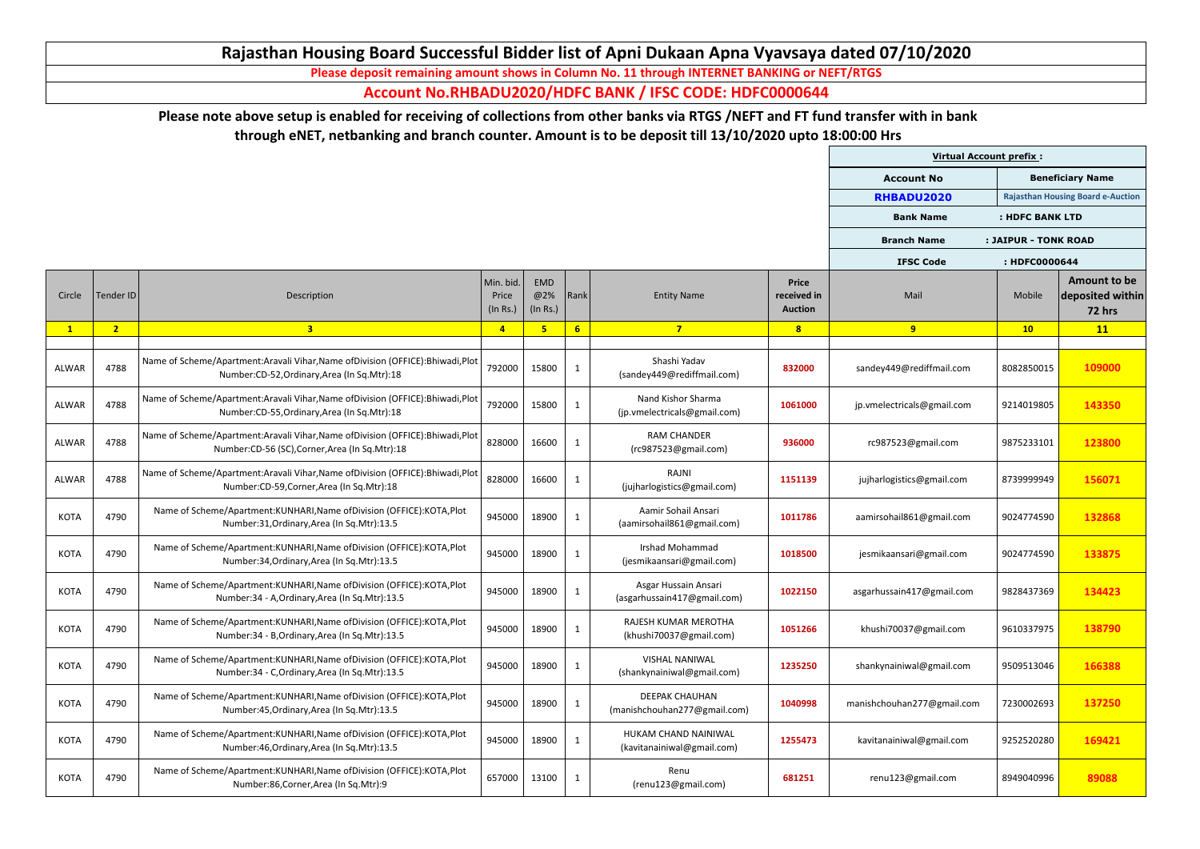|              |                |                                                                                                                                     |                                |                               |                |                                                       |                                               | <b>Virtual Account prefix:</b> |                      |                                                          |
|--------------|----------------|-------------------------------------------------------------------------------------------------------------------------------------|--------------------------------|-------------------------------|----------------|-------------------------------------------------------|-----------------------------------------------|--------------------------------|----------------------|----------------------------------------------------------|
|              |                |                                                                                                                                     |                                |                               |                |                                                       |                                               | <b>Account No</b>              |                      | <b>Beneficiary Name</b>                                  |
|              |                |                                                                                                                                     |                                |                               |                |                                                       |                                               | RHBADU2020                     |                      | <b>Rajasthan Housing Board e-Auction</b>                 |
|              |                |                                                                                                                                     |                                |                               |                |                                                       |                                               | <b>Bank Name</b>               | : HDFC BANK LTD      |                                                          |
|              |                |                                                                                                                                     |                                |                               |                |                                                       |                                               | <b>Branch Name</b>             | : JAIPUR - TONK ROAD |                                                          |
|              |                |                                                                                                                                     |                                |                               |                |                                                       |                                               | <b>IFSC Code</b>               | : HDFC0000644        |                                                          |
| Circle       | Tender ID      | Description                                                                                                                         | Min. bid.<br>Price<br>(In Rs.) | <b>EMD</b><br>@2%<br>(In Rs.) | Rank           | <b>Entity Name</b>                                    | <b>Price</b><br>received in<br><b>Auction</b> | Mail                           | Mobile               | <b>Amount to be</b><br>deposited within<br><b>72 hrs</b> |
| $\mathbf{1}$ | 2 <sub>1</sub> | 3 <sup>1</sup>                                                                                                                      | $\overline{4}$                 | 5                             | 6 <sup>1</sup> | $7\overline{ }$                                       | 8                                             | 9                              | 10                   | 11                                                       |
| ALWAR        | 4788           | Name of Scheme/Apartment:Aravali Vihar, Name of Division (OFFICE): Bhiwadi, Plot<br>Number:CD-52, Ordinary, Area (In Sq. Mtr):18    | 792000                         | 15800                         |                | Shashi Yadav<br>(sandey449@rediffmail.com)            | 832000                                        | sandey449@rediffmail.com       | 8082850015           | 109000                                                   |
| ALWAR        | 4788           | Name of Scheme/Apartment:Aravali Vihar, Name of Division (OFFICE): Bhiwadi, Plot<br>Number:CD-55, Ordinary, Area (In Sq. Mtr): 18   | 792000                         | 15800                         | <sup>1</sup>   | Nand Kishor Sharma<br>(jp.vmelectricals@gmail.com)    | 1061000                                       | jp.vmelectricals@gmail.com     | 9214019805           | 143350                                                   |
| ALWAR        | 4788           | Name of Scheme/Apartment:Aravali Vihar, Name of Division (OFFICE): Bhiwadi, Plot<br>Number:CD-56 (SC), Corner, Area (In Sq. Mtr):18 | 828000                         | 16600                         |                | <b>RAM CHANDER</b><br>(rc987523@gmail.com)            | 936000                                        | rc987523@gmail.com             | 9875233101           | 123800                                                   |
| ALWAR        | 4788           | Name of Scheme/Apartment:Aravali Vihar, Name of Division (OFFICE): Bhiwadi, Plot<br>Number:CD-59, Corner, Area (In Sq. Mtr):18      | 828000                         | 16600                         |                | <b>RAJNI</b><br>(jujharlogistics@gmail.com)           | 1151139                                       | jujharlogistics@gmail.com      | 8739999949           | 156071                                                   |
| <b>KOTA</b>  | 4790           | Name of Scheme/Apartment:KUNHARI, Name of Division (OFFICE):KOTA, Plot<br>Number:31, Ordinary, Area (In Sq. Mtr):13.5               | 945000                         | 18900                         | $\mathbf{1}$   | Aamir Sohail Ansari<br>(aamirsohail861@gmail.com)     | 1011786                                       | aamirsohail861@gmail.com       | 9024774590           | 132868                                                   |
| <b>KOTA</b>  | 4790           | Name of Scheme/Apartment:KUNHARI, Name of Division (OFFICE):KOTA, Plot<br>Number:34, Ordinary, Area (In Sq. Mtr):13.5               | 945000                         | 18900                         | $\mathbf{1}$   | Irshad Mohammad<br>(jesmikaansari@gmail.com)          | 1018500                                       | jesmikaansari@gmail.com        | 9024774590           | 133875                                                   |
| <b>KOTA</b>  | 4790           | Name of Scheme/Apartment:KUNHARI, Name of Division (OFFICE):KOTA, Plot<br>Number: 34 - A, Ordinary, Area (In Sq. Mtr): 13.5         | 945000                         | 18900                         | -1             | Asgar Hussain Ansari<br>(asgarhussain417@gmail.com)   | 1022150                                       | asgarhussain417@gmail.com      | 9828437369           | 134423                                                   |
| <b>KOTA</b>  | 4790           | Name of Scheme/Apartment: KUNHARI, Name of Division (OFFICE): KOTA, Plot<br>Number: 34 - B, Ordinary, Area (In Sq. Mtr): 13.5       | 945000                         | 18900                         |                | RAJESH KUMAR MEROTHA<br>(khushi70037@gmail.com)       | 1051266                                       | khushi70037@gmail.com          | 9610337975           | 138790                                                   |
| <b>KOTA</b>  | 4790           | Name of Scheme/Apartment:KUNHARI, Name of Division (OFFICE):KOTA, Plot<br>Number: 34 - C, Ordinary, Area (In Sq. Mtr): 13.5         | 945000                         | 18900                         |                | <b>VISHAL NANIWAL</b><br>(shankynainiwal@gmail.com)   | 1235250                                       | shankynainiwal@gmail.com       | 9509513046           | 166388                                                   |
| <b>KOTA</b>  | 4790           | Name of Scheme/Apartment:KUNHARI, Name of Division (OFFICE):KOTA, Plot<br>Number:45, Ordinary, Area (In Sq. Mtr):13.5               | 945000                         | 18900                         | $\mathbf{1}$   | <b>DEEPAK CHAUHAN</b><br>(manishchouhan277@gmail.com) | 1040998                                       | manishchouhan277@gmail.com     | 7230002693           | 137250                                                   |
| <b>KOTA</b>  | 4790           | Name of Scheme/Apartment:KUNHARI, Name of Division (OFFICE):KOTA, Plot<br>Number:46, Ordinary, Area (In Sq. Mtr):13.5               | 945000                         | 18900                         |                | HUKAM CHAND NAINIWAL<br>(kavitanainiwal@gmail.com)    | 1255473                                       | kavitanainiwal@gmail.com       | 9252520280           | 169421                                                   |
| <b>KOTA</b>  | 4790           | Name of Scheme/Apartment:KUNHARI, Name of Division (OFFICE):KOTA, Plot<br>Number:86, Corner, Area (In Sq. Mtr):9                    | 657000                         | 13100                         |                | Renu<br>(renu123@gmail.com)                           | 681251                                        | renu123@gmail.com              | 8949040996           | 89088                                                    |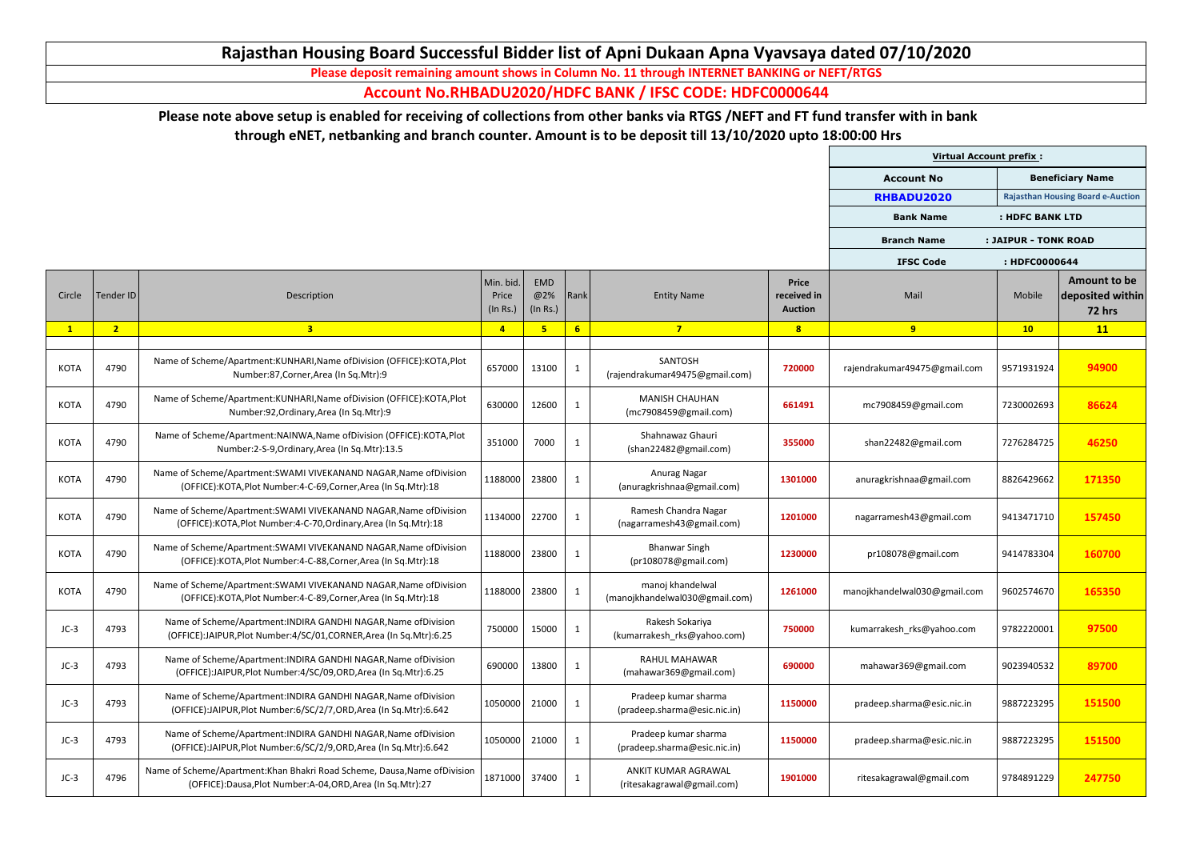|              |                |                                                                                                                                           |                                |                        |                |                                                      |                                               | <b>Virtual Account prefix:</b> |                      |                                                          |
|--------------|----------------|-------------------------------------------------------------------------------------------------------------------------------------------|--------------------------------|------------------------|----------------|------------------------------------------------------|-----------------------------------------------|--------------------------------|----------------------|----------------------------------------------------------|
|              |                |                                                                                                                                           |                                |                        |                |                                                      |                                               | <b>Account No</b>              |                      | <b>Beneficiary Name</b>                                  |
|              |                |                                                                                                                                           |                                |                        |                |                                                      |                                               | RHBADU2020                     |                      | <b>Rajasthan Housing Board e-Auction</b>                 |
|              |                |                                                                                                                                           |                                |                        |                |                                                      |                                               | <b>Bank Name</b>               | : HDFC BANK LTD      |                                                          |
|              |                |                                                                                                                                           |                                |                        |                |                                                      |                                               | <b>Branch Name</b>             | : JAIPUR - TONK ROAD |                                                          |
|              |                |                                                                                                                                           |                                |                        |                |                                                      |                                               | <b>IFSC Code</b>               | : HDFC0000644        |                                                          |
| Circle       | Tender ID      | Description                                                                                                                               | Min. bid.<br>Price<br>(In Rs.) | EMD<br>@2%<br>(In Rs.) | Rank           | <b>Entity Name</b>                                   | <b>Price</b><br>received in<br><b>Auction</b> | Mail                           | Mobile               | <b>Amount to be</b><br>deposited within<br><b>72 hrs</b> |
| $\mathbf{1}$ | 2 <sup>1</sup> | $\overline{\mathbf{3}}$                                                                                                                   | $\overline{4}$                 |                        | $6\phantom{1}$ | $\overline{7}$                                       | 8                                             | 9                              | 10                   | 11                                                       |
| <b>KOTA</b>  | 4790           | Name of Scheme/Apartment: KUNHARI, Name of Division (OFFICE): KOTA, Plot<br>Number:87, Corner, Area (In Sq. Mtr):9                        | 657000                         | 13100                  | $\mathbf{1}$   | SANTOSH<br>(rajendrakumar49475@gmail.com)            | 720000                                        | rajendrakumar49475@gmail.com   | 9571931924           | 94900                                                    |
| <b>KOTA</b>  | 4790           | Name of Scheme/Apartment:KUNHARI, Name of Division (OFFICE):KOTA, Plot<br>Number:92, Ordinary, Area (In Sq. Mtr): 9                       | 630000                         | 12600                  |                | <b>MANISH CHAUHAN</b><br>(mc7908459@gmail.com)       | 661491                                        | mc7908459@gmail.com            | 7230002693           | 86624                                                    |
| <b>KOTA</b>  | 4790           | Name of Scheme/Apartment:NAINWA,Name ofDivision (OFFICE):KOTA,Plot<br>Number:2-S-9, Ordinary, Area (In Sq. Mtr): 13.5                     | 351000                         | 7000                   |                | Shahnawaz Ghauri<br>(shan22482@gmail.com)            | 355000                                        | shan22482@gmail.com            | 7276284725           | 46250                                                    |
| <b>KOTA</b>  | 4790           | Name of Scheme/Apartment: SWAMI VIVEKANAND NAGAR, Name of Division<br>(OFFICE):KOTA, Plot Number: 4-C-69, Corner, Area (In Sq. Mtr): 18   | 1188000                        | 23800                  | $\mathbf 1$    | Anurag Nagar<br>(anuragkrishnaa@gmail.com)           | 1301000                                       | anuragkrishnaa@gmail.com       | 8826429662           | 171350                                                   |
| <b>KOTA</b>  | 4790           | Name of Scheme/Apartment: SWAMI VIVEKANAND NAGAR, Name of Division<br>(OFFICE):KOTA, Plot Number: 4-C-70, Ordinary, Area (In Sq. Mtr): 18 | 1134000                        | 22700                  | $\mathbf{1}$   | Ramesh Chandra Nagar<br>(nagarramesh43@gmail.com)    | 1201000                                       | nagarramesh43@gmail.com        | 9413471710           | 157450                                                   |
| <b>KOTA</b>  | 4790           | Name of Scheme/Apartment: SWAMI VIVEKANAND NAGAR, Name of Division<br>(OFFICE):KOTA, Plot Number: 4-C-88, Corner, Area (In Sq. Mtr): 18   | 1188000                        | 23800                  |                | <b>Bhanwar Singh</b><br>(pr108078@gmail.com)         | 1230000                                       | pr108078@gmail.com             | 9414783304           | 160700                                                   |
| <b>KOTA</b>  | 4790           | Name of Scheme/Apartment: SWAMI VIVEKANAND NAGAR, Name of Division<br>(OFFICE):KOTA, Plot Number: 4-C-89, Corner, Area (In Sq. Mtr): 18   | 1188000                        | 23800                  |                | manoj khandelwal<br>(manojkhandelwal030@gmail.com)   | 1261000                                       | manojkhandelwal030@gmail.com   | 9602574670           | 165350                                                   |
| $JC-3$       | 4793           | Name of Scheme/Apartment: INDIRA GANDHI NAGAR, Name of Division<br>(OFFICE):JAIPUR, Plot Number: 4/SC/01, CORNER, Area (In Sq. Mtr): 6.25 | 750000                         | 15000                  |                | Rakesh Sokariya<br>(kumarrakesh_rks@yahoo.com)       | 750000                                        | kumarrakesh rks@yahoo.com      | 9782220001           | 97500                                                    |
| $JC-3$       | 4793           | Name of Scheme/Apartment: INDIRA GANDHI NAGAR, Name of Division<br>(OFFICE):JAIPUR, Plot Number: 4/SC/09, ORD, Area (In Sq. Mtr): 6.25    | 690000                         | 13800                  |                | <b>RAHUL MAHAWAR</b><br>(mahawar369@gmail.com)       | 690000                                        | mahawar369@gmail.com           | 9023940532           | 89700                                                    |
| $JC-3$       | 4793           | Name of Scheme/Apartment: INDIRA GANDHI NAGAR, Name of Division<br>(OFFICE):JAIPUR, Plot Number: 6/SC/2/7, ORD, Area (In Sq. Mtr): 6.642  | 1050000                        | 21000                  | $\mathbf 1$    | Pradeep kumar sharma<br>(pradeep.sharma@esic.nic.in) | 1150000                                       | pradeep.sharma@esic.nic.in     | 9887223295           | 151500                                                   |
| $JC-3$       | 4793           | Name of Scheme/Apartment: INDIRA GANDHI NAGAR, Name of Division<br>(OFFICE):JAIPUR, Plot Number: 6/SC/2/9, ORD, Area (In Sq. Mtr): 6.642  | 1050000                        | 21000                  |                | Pradeep kumar sharma<br>(pradeep.sharma@esic.nic.in) | 1150000                                       | pradeep.sharma@esic.nic.in     | 9887223295           | 151500                                                   |
| $JC-3$       | 4796           | Name of Scheme/Apartment: Khan Bhakri Road Scheme, Dausa, Name of Division<br>(OFFICE):Dausa,Plot Number:A-04,ORD,Area (In Sq.Mtr):27     | 1871000                        | 37400                  |                | ANKIT KUMAR AGRAWAL<br>(ritesakagrawal@gmail.com)    | 1901000                                       | ritesakagrawal@gmail.com       | 9784891229           | 247750                                                   |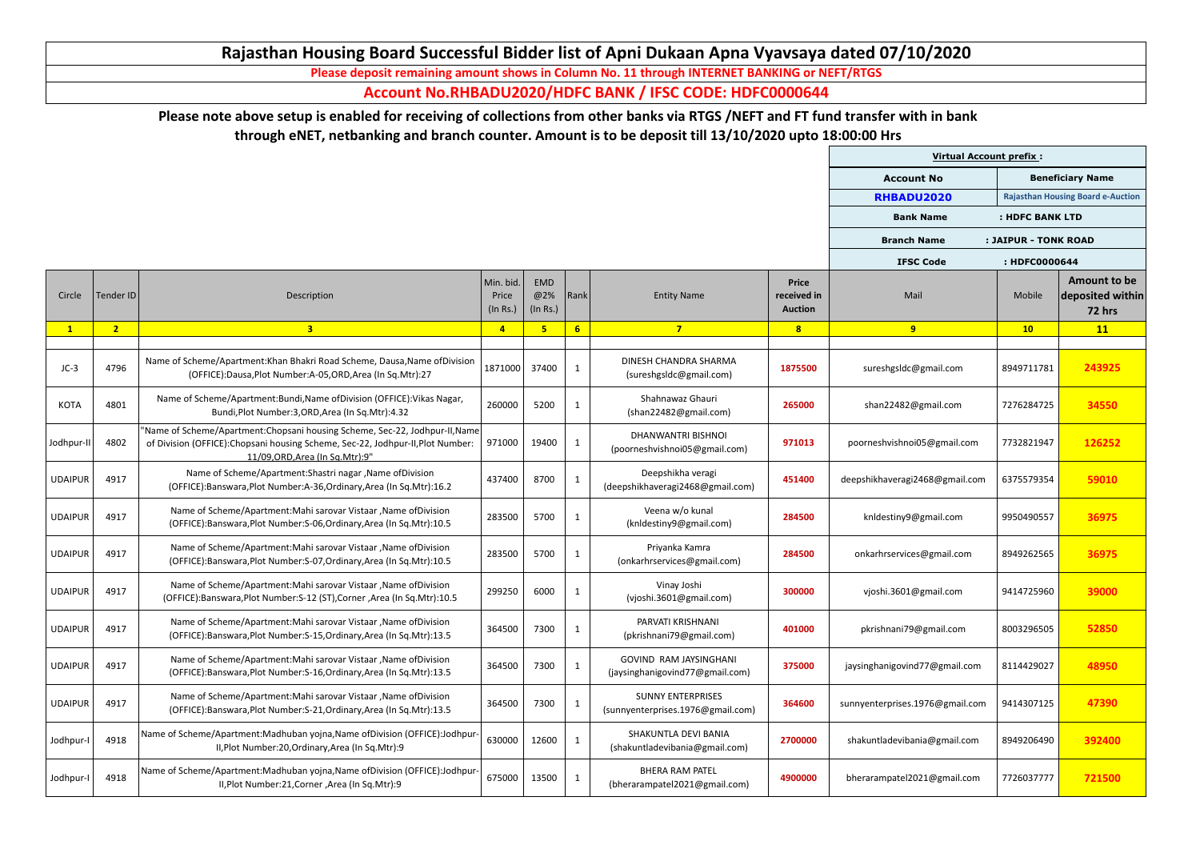|                |                |                                                                                                                                                                                                      |                                |                               |                 |                                                                  |                                               | <b>Virtual Account prefix:</b>  |                      |                                                          |
|----------------|----------------|------------------------------------------------------------------------------------------------------------------------------------------------------------------------------------------------------|--------------------------------|-------------------------------|-----------------|------------------------------------------------------------------|-----------------------------------------------|---------------------------------|----------------------|----------------------------------------------------------|
|                |                |                                                                                                                                                                                                      |                                |                               |                 |                                                                  |                                               | <b>Account No</b>               |                      | <b>Beneficiary Name</b>                                  |
|                |                |                                                                                                                                                                                                      |                                |                               |                 |                                                                  |                                               | RHBADU2020                      |                      | <b>Rajasthan Housing Board e-Auction</b>                 |
|                |                |                                                                                                                                                                                                      |                                |                               |                 |                                                                  |                                               | <b>Bank Name</b>                | : HDFC BANK LTD      |                                                          |
|                |                |                                                                                                                                                                                                      |                                |                               |                 |                                                                  |                                               | <b>Branch Name</b>              | : JAIPUR - TONK ROAD |                                                          |
|                |                |                                                                                                                                                                                                      |                                |                               |                 |                                                                  |                                               | <b>IFSC Code</b>                | : HDFC0000644        |                                                          |
| Circle         | Tender ID      | Description                                                                                                                                                                                          | Min. bid.<br>Price<br>(In Rs.) | <b>EMD</b><br>@2%<br>(In Rs.) | Rank            | <b>Entity Name</b>                                               | <b>Price</b><br>received in<br><b>Auction</b> | Mail                            | Mobile               | <b>Amount to be</b><br>deposited within<br><b>72 hrs</b> |
|                | 2 <sub>2</sub> | $\overline{\mathbf{3}}$                                                                                                                                                                              | $\overline{4}$                 | 5                             | $6\overline{6}$ | $\overline{7}$                                                   | 8                                             | 9                               | 10                   | 11                                                       |
| $JC-3$         | 4796           | Name of Scheme/Apartment: Khan Bhakri Road Scheme, Dausa, Name of Division<br>(OFFICE):Dausa,Plot Number:A-05,ORD,Area (In Sq.Mtr):27                                                                | 1871000                        | 37400                         | $\mathbf{1}$    | DINESH CHANDRA SHARMA<br>(sureshgsIdc@gmail.com)                 | 1875500                                       | sureshgsldc@gmail.com           | 8949711781           | 243925                                                   |
| <b>KOTA</b>    | 4801           | Name of Scheme/Apartment:Bundi, Name of Division (OFFICE): Vikas Nagar,<br>Bundi, Plot Number: 3, ORD, Area (In Sq. Mtr): 4.32                                                                       | 260000                         | 5200                          | $\mathbf{1}$    | Shahnawaz Ghauri<br>(shan22482@gmail.com)                        | 265000                                        | shan22482@gmail.com             | 7276284725           | 34550                                                    |
| Jodhpur-II     | 4802           | "Name of Scheme/Apartment: Chopsani housing Scheme, Sec-22, Jodhpur-II, Name<br>of Division (OFFICE): Chopsani housing Scheme, Sec-22, Jodhpur-II, Plot Number:<br>11/09. ORD. Area (In Sq. Mtr): 9" | 971000                         | 19400                         | $\mathbf{1}$    | <b>DHANWANTRI BISHNOI</b><br>(poorneshvishnoi05@gmail.com)       | 971013                                        | poorneshvishnoi05@gmail.com     | 7732821947           | 126252                                                   |
| <b>UDAIPUR</b> | 4917           | Name of Scheme/Apartment: Shastri nagar, Name of Division<br>(OFFICE):Banswara, Plot Number: A-36, Ordinary, Area (In Sq. Mtr): 16.2                                                                 | 437400                         | 8700                          | $\mathbf{1}$    | Deepshikha veragi<br>(deepshikhaveragi2468@gmail.com)            | 451400                                        | deepshikhaveragi2468@gmail.com  | 6375579354           | 59010                                                    |
| <b>UDAIPUR</b> | 4917           | Name of Scheme/Apartment: Mahi sarovar Vistaar, Name of Division<br>(OFFICE):Banswara, Plot Number: S-06, Ordinary, Area (In Sq. Mtr): 10.5                                                          | 283500                         | 5700                          | $\mathbf{1}$    | Veena w/o kunal<br>(knldestiny9@gmail.com)                       | 284500                                        | knldestiny9@gmail.com           | 9950490557           | 36975                                                    |
| <b>UDAIPUR</b> | 4917           | Name of Scheme/Apartment: Mahi sarovar Vistaar, Name of Division<br>(OFFICE):Banswara, Plot Number: S-07, Ordinary, Area (In Sq. Mtr): 10.5                                                          | 283500                         | 5700                          | $\mathbf{1}$    | Priyanka Kamra<br>(onkarhrservices@gmail.com)                    | 284500                                        | onkarhrservices@gmail.com       | 8949262565           | 36975                                                    |
| <b>UDAIPUR</b> | 4917           | Name of Scheme/Apartment: Mahi sarovar Vistaar, Name of Division<br>(OFFICE):Banswara,Plot Number:S-12 (ST),Corner,Area (In Sq.Mtr):10.5                                                             | 299250                         | 6000                          | $\mathbf{1}$    | Vinay Joshi<br>(vjoshi.3601@gmail.com)                           | 300000                                        | vjoshi.3601@gmail.com           | 9414725960           | 39000                                                    |
| <b>UDAIPUR</b> | 4917           | Name of Scheme/Apartment: Mahi sarovar Vistaar, Name of Division<br>(OFFICE):Banswara, Plot Number: S-15, Ordinary, Area (In Sq. Mtr): 13.5                                                          | 364500                         | 7300                          | $\mathbf{1}$    | PARVATI KRISHNANI<br>(pkrishnani79@gmail.com)                    | 401000                                        | pkrishnani79@gmail.com          | 8003296505           | 52850                                                    |
| <b>UDAIPUR</b> | 4917           | Name of Scheme/Apartment: Mahi sarovar Vistaar, Name of Division<br>(OFFICE):Banswara, Plot Number: S-16, Ordinary, Area (In Sq. Mtr): 13.5                                                          | 364500                         | 7300                          | $\mathbf{1}$    | <b>GOVIND RAM JAYSINGHANI</b><br>(jaysinghanigovind77@gmail.com) | 375000                                        | jaysinghanigovind77@gmail.com   | 8114429027           | 48950                                                    |
| <b>UDAIPUR</b> | 4917           | Name of Scheme/Apartment: Mahi sarovar Vistaar, Name of Division<br>(OFFICE):Banswara, Plot Number: S-21, Ordinary, Area (In Sq. Mtr): 13.5                                                          | 364500                         | 7300                          | 1               | <b>SUNNY ENTERPRISES</b><br>(sunnyenterprises.1976@gmail.com)    | 364600                                        | sunnyenterprises.1976@gmail.com | 9414307125           | 47390                                                    |
| Jodhpur-I      | 4918           | Name of Scheme/Apartment:Madhuban yojna,Name ofDivision (OFFICE):Jodhpur-<br>II, Plot Number: 20, Ordinary, Area (In Sq. Mtr): 9                                                                     | 630000                         | 12600                         | $\mathbf{1}$    | SHAKUNTLA DEVI BANIA<br>(shakuntladevibania@gmail.com)           | 2700000                                       | shakuntladevibania@gmail.com    | 8949206490           | 392400                                                   |
| Jodhpur-I      | 4918           | Name of Scheme/Apartment:Madhuban yojna,Name ofDivision (OFFICE):Jodhpur-<br>II, Plot Number: 21, Corner, Area (In Sq. Mtr): 9                                                                       | 675000                         | 13500                         | $\mathbf{1}$    | <b>BHERA RAM PATEL</b><br>(bherarampatel2021@gmail.com)          | 4900000                                       | bherarampatel2021@gmail.com     | 7726037777           | 721500                                                   |